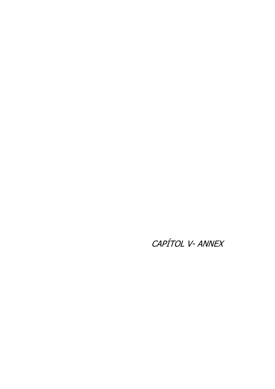CAPÍTOL V- ANNEX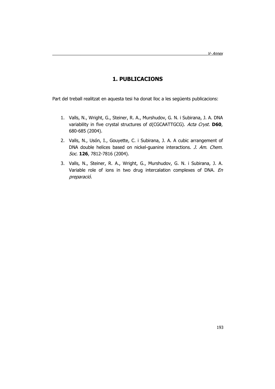# **1. PUBLICACIONS**

Part del treball realitzat en aquesta tesi ha donat lloc a les següents publicacions:

- 1. Valls, N., Wright, G., Steiner, R. A., Murshudov, G. N. i Subirana, J. A. DNA variability in five crystal structures of d(CGCAATTGCG). Acta Cryst. **D60**, 680-685 (2004).
- 2. Valls, N., Usón, I., Gouyette, C. i Subirana, J. A. A cubic arrangement of DNA double helices based on nickel-guanine interactions. *J. Am. Chem.* Soc. **126**, 7812-7816 (2004).
- 3. Valls, N., Steiner, R. A., Wright, G., Murshudov, G. N. i Subirana, J. A. Variable role of ions in two drug intercalation complexes of DNA. En preparació.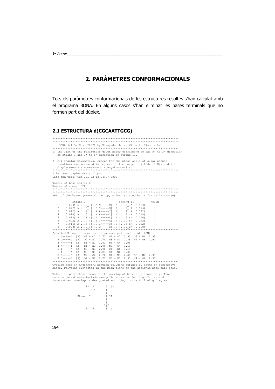# 2. PARÀMETRES CONFORMACIONALS

Tots els paràmetres conformacionals de les estructures resoltes s'han calculat amb el programa 3DNA. En alguns casos s'han eliminat les bases terminals que no formen part del dúplex.

## 2.1 ESTRUCTURA d(CGCAATTGCG)

| 3DNA (v1.5, Nov. 2002) by Xiang-Jun Lu at Wilma K. Olson's Lab.<br>1. The list of the parameters given below correspond to the 5' to 3' direction<br>of strand I and 3' to 5' direction of strand II.                                                                                                                                                                                                                                                                   |
|-------------------------------------------------------------------------------------------------------------------------------------------------------------------------------------------------------------------------------------------------------------------------------------------------------------------------------------------------------------------------------------------------------------------------------------------------------------------------|
| 2. All angular parameters, except for the phase angle of sugar pseudo-<br>rotation, are measured in degrees in the range of [-180, +180], and all<br>displacements are measured in Angstrom units.                                                                                                                                                                                                                                                                      |
| File name: duplex nuria r1.pdb<br>Date and time: Tue Jul $\overline{2}2$ 13:04:07 2003                                                                                                                                                                                                                                                                                                                                                                                  |
| Number of base-pairs: 8<br>Number of atoms: 328                                                                                                                                                                                                                                                                                                                                                                                                                         |
| RMSD of the bases (----- for WC bp, + for isolated bp, x for helix change)                                                                                                                                                                                                                                                                                                                                                                                              |
| Strand I<br>Strand II<br>Helix<br>$(0.020)$ A:2 : [G]G-----C[C]:9 :A $(0.023)$<br>1<br>2<br>$(0.022)$ A:3 : [C]C-----G[G]:8 :A $(0.016)$<br>3<br>$(0.022)$ A:4 : [A]A-----T[T]:7 :A $(0.022)$<br>4<br>$(0.010)$ A:5 : [A]A-----T[T]:6 :A $(0.018)$<br>5<br>$(0.018)$ A:6 : [T]T-----A[A]:5 :A $(0.010)$<br>$(0.022)$ A:7 : [T]T------A[A]:4 :A $(0.022)$<br>6<br>$(0.016)$ A:8 : [G]G-----C[C]:3 :A $(0.022)$<br>7<br>$(0.023)$ A:9 : [C]C-----G[G]:2 :A $(0.020)$<br>8 |
| Detailed H-bond information: atom-name pair and length [ON]                                                                                                                                                                                                                                                                                                                                                                                                             |
| 1 G-----C [3] N2 - O2 2.71 N1 - N3 2.93 O6 - N4 2.95<br>2 C-----G [3] 02 - N2 2.70 N3 - N1 2.88 N4 - 06 2.90<br>3 A ----- T [2] N1 - N3 2.83 N6 - 04 3.08<br>4 A-----T [2] N1 - N3 2.90 N6 - 04 3.19<br>5 T-----A [2] N3 - N1 2.90 04 - N6 3.19<br>$6$ T-----A $[2]$<br>$N3 - N1$ 2.83 04 - N6 3.08<br>7 G-----C [3] N2 - 02 2.70 N1 - N3 2.88 06 - N4 2.90<br>8 C-----G [3] 02 - N2 2.71 N3 - N1 2.93 N4 - 06 2.95                                                     |
|                                                                                                                                                                                                                                                                                                                                                                                                                                                                         |
| Overlap area in Angstrom <sup>2</sup> between polygons defined by atoms on successive<br>bases. Polygons projected in the mean plane of the designed base-pair step.                                                                                                                                                                                                                                                                                                    |

Values in parentheses measure the overlap of base ring atoms only. Those<br>outside parentheses include exocyclic atoms on the ring. Intra- and<br>inter-strand overlap is designated according to the following diagram:

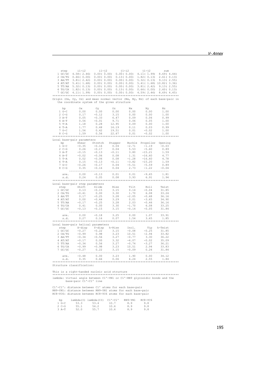| step i1-i2 i1-j2 j1-i2 j1-j2 sum                                                                                                                                                                                                                                                                               |  |  |  |
|----------------------------------------------------------------------------------------------------------------------------------------------------------------------------------------------------------------------------------------------------------------------------------------------------------------|--|--|--|
| 1 GC/GC 4.58 ( 2.46) 0.00 ( 0.00) 0.00 ( 0.00) 4.11 ( 1.99) 8.69 ( 4.44)                                                                                                                                                                                                                                       |  |  |  |
| 2 CA/TG 0.66(0.00) 0.00(0.00) 0.13(0.00) 1.82(0.13) 2.61(0.13)<br>3 AA/TT 3.81(2.42) 0.00(0.00) 0.00(0.00) 5.32(0.13) 9.13(2.55)<br>4 AT/AT 5.41(1.68) 0.00(0.00) 0.00(0.00) 5.41(1.68) 10.82(3.36)                                                                                                            |  |  |  |
|                                                                                                                                                                                                                                                                                                                |  |  |  |
|                                                                                                                                                                                                                                                                                                                |  |  |  |
|                                                                                                                                                                                                                                                                                                                |  |  |  |
| $\begin{array}{cccccc} 5 & \texttt{TT/AA} & 5.32( & 0.13) & 0.00( & 0.00) & 0.00( & 0.00) & 3.81( & 2.42) & 9.13( & 2.55) \\ 6 & \texttt{TG/CA} & 1.82( & 0.13) & 0.00( & 0.00) & 0.13( & 0.00) & 0.66( & 0.00) & 2.60( & 0.13) \\ 7 & \texttt{GC/GC} & 4.11( & 1.99) & 0.00( & 0.00) & 0.00( & $              |  |  |  |
|                                                                                                                                                                                                                                                                                                                |  |  |  |
|                                                                                                                                                                                                                                                                                                                |  |  |  |
| Origin (Ox, Oy, Oz) and mean normal vector (Nx, Ny, Nz) of each base-pair in                                                                                                                                                                                                                                   |  |  |  |
| the coordinate system of the given structure                                                                                                                                                                                                                                                                   |  |  |  |
|                                                                                                                                                                                                                                                                                                                |  |  |  |
| $\begin{tabular}{l cccc} bp & Ox & Oy & Oz & Nx & Ny & Nz \\ 1\; G-C & 0.00 & 0.00 & 0.00 & 0.00 & 0.00 & 1.00 \\ 2\; C-C & 0.17 & -0.12 & 3.15 & 0.00 & 0.00 & 1.00 \\ 3\; A-T & 0.05 & -0.33 & 6.47 & 0.09 & 0.06 & 0.99 \\ 4\; A-T & 0.56 & -0.01 & 9.71 & 0.06 & 0.05 & 1.00 \\ 5\; T-A & 1.18 & 0.28 & 1$ |  |  |  |
|                                                                                                                                                                                                                                                                                                                |  |  |  |
|                                                                                                                                                                                                                                                                                                                |  |  |  |
|                                                                                                                                                                                                                                                                                                                |  |  |  |
|                                                                                                                                                                                                                                                                                                                |  |  |  |
|                                                                                                                                                                                                                                                                                                                |  |  |  |
|                                                                                                                                                                                                                                                                                                                |  |  |  |
|                                                                                                                                                                                                                                                                                                                |  |  |  |
|                                                                                                                                                                                                                                                                                                                |  |  |  |
|                                                                                                                                                                                                                                                                                                                |  |  |  |
|                                                                                                                                                                                                                                                                                                                |  |  |  |
| Local base-pair parameters<br>10 base-pair parameters<br>10 -C and Stretch Stagger Buckle Propeller Opening<br>10 -C -0.35 -0.16 0.04 -2.71 -1.19 -0.03<br>2 C-G 0.26 -0.17 0.04 5.53 -5.60 0.89<br>3 A-T -0.02 -0.06 0.08 1.31 -16.60 4.77<br>5 T-A 0.02 -0.06 0.08                                           |  |  |  |
|                                                                                                                                                                                                                                                                                                                |  |  |  |
|                                                                                                                                                                                                                                                                                                                |  |  |  |
|                                                                                                                                                                                                                                                                                                                |  |  |  |
|                                                                                                                                                                                                                                                                                                                |  |  |  |
|                                                                                                                                                                                                                                                                                                                |  |  |  |
|                                                                                                                                                                                                                                                                                                                |  |  |  |
|                                                                                                                                                                                                                                                                                                                |  |  |  |
|                                                                                                                                                                                                                                                                                                                |  |  |  |
|                                                                                                                                                                                                                                                                                                                |  |  |  |
|                                                                                                                                                                                                                                                                                                                |  |  |  |
| $\begin{tabular}{lcccccc} ave.& & 0.00 & -0.13 & 0.01 & 0.01 & -9.65 & 1.81 \\ s.d. & 0.24 & 0.05 & 0.08 & 3.93 & 6.91 & 1.94 \end{tabular}$                                                                                                                                                                   |  |  |  |
|                                                                                                                                                                                                                                                                                                                |  |  |  |
|                                                                                                                                                                                                                                                                                                                |  |  |  |
| Local base-pair step parameters                                                                                                                                                                                                                                                                                |  |  |  |
|                                                                                                                                                                                                                                                                                                                |  |  |  |
|                                                                                                                                                                                                                                                                                                                |  |  |  |
|                                                                                                                                                                                                                                                                                                                |  |  |  |
|                                                                                                                                                                                                                                                                                                                |  |  |  |
|                                                                                                                                                                                                                                                                                                                |  |  |  |
|                                                                                                                                                                                                                                                                                                                |  |  |  |
|                                                                                                                                                                                                                                                                                                                |  |  |  |
| 31 Dase-pair step parameters<br>step Shift Slide Rise Tilt Roll Twist<br>1 GC/GC 0.13 -0.15 3.15 0.14 -0.04 31.85<br>2 CA/TG -0.41 0.00 3.30 1.70 6.08 33.24<br>4 AT/AT 0.00 -0.44 3.29 0.01 -3.65 34.90<br>5 TT/AA -0.17 -0.25 3.28 -2.                                                                       |  |  |  |
|                                                                                                                                                                                                                                                                                                                |  |  |  |
|                                                                                                                                                                                                                                                                                                                |  |  |  |
| ave. 0.00 -0.18 3.25 0.00 1.07 33.91<br>s.d. 0.27 0.16 0.07 1.54 3.65 1.85                                                                                                                                                                                                                                     |  |  |  |
|                                                                                                                                                                                                                                                                                                                |  |  |  |
| Local base-pair helical parameters                                                                                                                                                                                                                                                                             |  |  |  |
|                                                                                                                                                                                                                                                                                                                |  |  |  |
|                                                                                                                                                                                                                                                                                                                |  |  |  |
|                                                                                                                                                                                                                                                                                                                |  |  |  |
|                                                                                                                                                                                                                                                                                                                |  |  |  |
|                                                                                                                                                                                                                                                                                                                |  |  |  |
|                                                                                                                                                                                                                                                                                                                |  |  |  |
|                                                                                                                                                                                                                                                                                                                |  |  |  |
|                                                                                                                                                                                                                                                                                                                |  |  |  |
| 31 Date=part metrical parameters<br>3tep 7 -disp 7-disp h-Rise Incl. Tip h-Twist<br>1 GC/GC -0.27 -0.22 3.15 -0.08 -0.25 31.85<br>2 CA/TG -0.99 -0.98 3.23 10.51 -2.94 33.82<br>3 RA/TT -0.34 -0.56 3.27 -0.77 3.30 36.22<br>4 AT/AT -0.                                                                       |  |  |  |
|                                                                                                                                                                                                                                                                                                                |  |  |  |
| ave. -0.48 0.00 3.23 1.90 0.00 34.12<br>s.d. 0.35 0.66 0.06 6.24 2.55 1.84                                                                                                                                                                                                                                     |  |  |  |
|                                                                                                                                                                                                                                                                                                                |  |  |  |
| Structure classification:                                                                                                                                                                                                                                                                                      |  |  |  |
|                                                                                                                                                                                                                                                                                                                |  |  |  |
| This is a right-handed nucleic acid structure                                                                                                                                                                                                                                                                  |  |  |  |
|                                                                                                                                                                                                                                                                                                                |  |  |  |
|                                                                                                                                                                                                                                                                                                                |  |  |  |

\*\*\*\*\*\*\*\*\*\*\*\*\*\*\*\*\*\*\*\*\*\*\*\*\*\*\*\*\*\*\*\*\*\*\*\*\*\*\*\*\*\*\*\*\*\*\*\*\*\*\*\*\*\*\*\*\*\*\*\*\*\*\*\*\*\*\*\*\*\*\*\*\*\*\*\* lambda: virtual angle between C1'-YN1 or C1'-RN9 glycosidic bonds and the base-pair C1'-C1' line

C1'-C1': distance between C1' atoms for each base-pair RN9-YN1: distance between RN9-YN1 atoms for each base-pair RC8-YC6: distance between RC8-YC6 atoms for each base-pair

| bp      | lambda(I) | lambda(II) | $C1'$ - $C1'$ | RN9-YN1 | $RC8-YC6$ |
|---------|-----------|------------|---------------|---------|-----------|
| $1$ G-C | 53.3      | 53.4       | 10.7          | 8.9     | 9.8       |
| $2$ C-G | 55.1      | 54.2       | 10.6          | 8.9     | 9.8       |
| $3 A-T$ | 52.0      | 55.7       | 10.6          | 8.9     | 9.8       |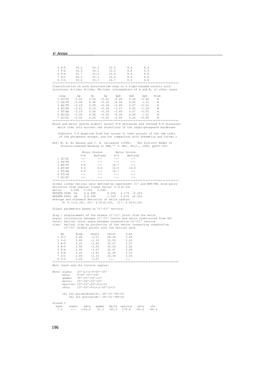| 4 A-T                            | 54.2                                                                                                                                                                                                                                                                                                                                                                                                                      | 54.3                                                                                                                                                                                                                                                                                                                                                                                         | 10.5                                      | 8.8                                 | 9.9<br>9.9         |                     |  |
|----------------------------------|---------------------------------------------------------------------------------------------------------------------------------------------------------------------------------------------------------------------------------------------------------------------------------------------------------------------------------------------------------------------------------------------------------------------------|----------------------------------------------------------------------------------------------------------------------------------------------------------------------------------------------------------------------------------------------------------------------------------------------------------------------------------------------------------------------------------------------|-------------------------------------------|-------------------------------------|--------------------|---------------------|--|
| 5 T-A<br>6 T-A                   | 54.4<br>55.7                                                                                                                                                                                                                                                                                                                                                                                                              | 54.1<br>52.0                                                                                                                                                                                                                                                                                                                                                                                 | 10.5<br>10.6                              | 8.8<br>8.9                          | 9.8                |                     |  |
| 7 G-C                            | 54.2                                                                                                                                                                                                                                                                                                                                                                                                                      | 55.1                                                                                                                                                                                                                                                                                                                                                                                         | 10.6                                      | 8.9                                 | 9.8                |                     |  |
| $8$ C-G                          | 53.4                                                                                                                                                                                                                                                                                                                                                                                                                      | 53.3                                                                                                                                                                                                                                                                                                                                                                                         | 10.7                                      | 8.9                                 | 9.8                |                     |  |
|                                  |                                                                                                                                                                                                                                                                                                                                                                                                                           |                                                                                                                                                                                                                                                                                                                                                                                              |                                           |                                     |                    |                     |  |
|                                  | Classification of each dinucleotide step in a right-handed nucleic acid<br>structure: A-like; B-like; TA-like; intermediate of A and B, or other cases                                                                                                                                                                                                                                                                    |                                                                                                                                                                                                                                                                                                                                                                                              |                                           |                                     |                    |                     |  |
| step                             | Xp                                                                                                                                                                                                                                                                                                                                                                                                                        | Yp<br>Zp                                                                                                                                                                                                                                                                                                                                                                                     | ХрН                                       | YpH                                 | ZpH                | Form                |  |
| 1 GC/GC                          | $-3.42$                                                                                                                                                                                                                                                                                                                                                                                                                   | 9.26<br>$-0.63$                                                                                                                                                                                                                                                                                                                                                                              | $-3.69$                                   | 9.26                                | $-0.64$            | $_{B}$              |  |
| 2 CA/TG                          | $-3.06$                                                                                                                                                                                                                                                                                                                                                                                                                   | 8.98<br>$-0.30$                                                                                                                                                                                                                                                                                                                                                                              | $-4.04$                                   | 8.89                                | 1.31               | B                   |  |
|                                  |                                                                                                                                                                                                                                                                                                                                                                                                                           |                                                                                                                                                                                                                                                                                                                                                                                              |                                           | 9.05                                | $-0.51$<br>$-1.28$ | В<br>$\overline{B}$ |  |
|                                  | $\begin{array}{cccccc} 3 \ \text{AA/TT} & -3.19 & 9.08 & -0.39 & -3.49 & 9.07 \\ 4 \ \text{AT/AT} & -3.41 & 9.14 & -0.36 & -3.57 & 9.05 \\ 5 \ \text{TT/AA} & -3.19 & 9.08 & -0.39 & -3.49 & 9.07 \\ \end{array}$                                                                                                                                                                                                         |                                                                                                                                                                                                                                                                                                                                                                                              |                                           | 9.07                                | $-0.50$            | $\overline{B}$      |  |
| 6 TG/CA                          | $-3.06$                                                                                                                                                                                                                                                                                                                                                                                                                   | 8.98<br>$-0.30$                                                                                                                                                                                                                                                                                                                                                                              | $-4.04$                                   | 8.89                                | 1.31               | B                   |  |
| $7 \text{ GC/GC} = 3.42$         | 9.26                                                                                                                                                                                                                                                                                                                                                                                                                      |                                                                                                                                                                                                                                                                                                                                                                                              | $-0.63 -3.69 9.26$                        |                                     | $-0.65$            | $\overline{B}$      |  |
|                                  | Minor and major groove widths: direct P-P distances and refined P-P distances<br>which take into account the directions of the sugar-phosphate backbones                                                                                                                                                                                                                                                                  |                                                                                                                                                                                                                                                                                                                                                                                              |                                           |                                     |                    |                     |  |
|                                  | (Subtract 5.8 Angstrom from the values to take account of the vdw radii<br>of the phosphate groups, and for comparison with FreeHelix and Curves.)                                                                                                                                                                                                                                                                        |                                                                                                                                                                                                                                                                                                                                                                                              |                                           |                                     |                    |                     |  |
|                                  | Ref: M. A. El Hassan and C. R. Calladine (1998). `Two Distinct Modes of<br>Protein-induced Bending in DNA.'' J. Mol. Biol., v282, pp331-343.                                                                                                                                                                                                                                                                              |                                                                                                                                                                                                                                                                                                                                                                                              |                                           |                                     |                    |                     |  |
|                                  |                                                                                                                                                                                                                                                                                                                                                                                                                           |                                                                                                                                                                                                                                                                                                                                                                                              |                                           |                                     |                    |                     |  |
| $1$ GC/GC                        | $\frac{1}{2}$                                                                                                                                                                                                                                                                                                                                                                                                             | Minor Groove<br>P-P Refined<br>$\sim$ $\sim$ $\sim$ $\sim$                                                                                                                                                                                                                                                                                                                                   | $\rightarrow$ $\rightarrow$ $\rightarrow$ | Major Groove<br>P-P Refined<br>---- |                    |                     |  |
| 2 CA/TG                          | $\sim$ $\sim$ $\sim$                                                                                                                                                                                                                                                                                                                                                                                                      | $\frac{1}{2} \frac{1}{2} \frac{1}{2} \frac{1}{2} \frac{1}{2} \frac{1}{2} \frac{1}{2} \frac{1}{2} \frac{1}{2} \frac{1}{2} \frac{1}{2} \frac{1}{2} \frac{1}{2} \frac{1}{2} \frac{1}{2} \frac{1}{2} \frac{1}{2} \frac{1}{2} \frac{1}{2} \frac{1}{2} \frac{1}{2} \frac{1}{2} \frac{1}{2} \frac{1}{2} \frac{1}{2} \frac{1}{2} \frac{1}{2} \frac{1}{2} \frac{1}{2} \frac{1}{2} \frac{1}{2} \frac{$ | $\sim$ $\sim$ $\sim$                      |                                     |                    |                     |  |
| 3 AA/TT                          | 9.8                                                                                                                                                                                                                                                                                                                                                                                                                       | $\rightarrow$ $\rightarrow$ $\rightarrow$                                                                                                                                                                                                                                                                                                                                                    | 18.7                                      |                                     |                    |                     |  |
| 4 AT/AT<br>5 TT/AA               | 9.0<br>9.8                                                                                                                                                                                                                                                                                                                                                                                                                | 9.0<br>$- - -$                                                                                                                                                                                                                                                                                                                                                                               | 16.9<br>18.7                              | 16.9                                |                    |                     |  |
| 6 TG/CA                          | $\rightarrow$ $\rightarrow$                                                                                                                                                                                                                                                                                                                                                                                               | $\frac{1}{2}$                                                                                                                                                                                                                                                                                                                                                                                | $\frac{1}{2}$                             | ---                                 |                    |                     |  |
| 7 GC/GC                          |                                                                                                                                                                                                                                                                                                                                                                                                                           |                                                                                                                                                                                                                                                                                                                                                                                              |                                           |                                     |                    |                     |  |
|                                  |                                                                                                                                                                                                                                                                                                                                                                                                                           |                                                                                                                                                                                                                                                                                                                                                                                              |                                           |                                     |                    |                     |  |
| HETATM 9998 XS<br>HETATM 9999 XE | Global linear helical axis defined by equivalent C1' and RN9/YN1 atom pairs<br>Deviation from regular linear helix: 3.31(0.25)<br>Helix: 0.048 0.013 0.999<br>X X 999<br>X X 999<br>Average and standard deviation of helix radius:<br>P: $9.71(0.39)$ , $04'$ : $6.53(0.23)$ , $C1'$ : $6.06(0.20)$                                                                                                                      |                                                                                                                                                                                                                                                                                                                                                                                              | 0.208<br>1.329                            | 0.179<br>$-0.254$<br>0.472 22.923   |                    |                     |  |
|                                  | Global parameters based on C1'-C1' vectors:                                                                                                                                                                                                                                                                                                                                                                               |                                                                                                                                                                                                                                                                                                                                                                                              |                                           |                                     |                    |                     |  |
|                                  | disp.: displacement of the middle C1'-C1' point from the helix<br>angle: inclination between C1'-C1' vector and helix (subtracted from 90)<br>twist: helical twist angle between consecutive C1'-C1' vectors<br>rise: helical rise by projection of the vector connecting consecutive<br>C1'-C1' middle points onto the helical axis                                                                                      |                                                                                                                                                                                                                                                                                                                                                                                              |                                           |                                     |                    |                     |  |
| bp                               | disp.                                                                                                                                                                                                                                                                                                                                                                                                                     | angle                                                                                                                                                                                                                                                                                                                                                                                        | twist                                     | rise                                |                    |                     |  |
| $1 G-C$                          | 2.69                                                                                                                                                                                                                                                                                                                                                                                                                      | 0.07                                                                                                                                                                                                                                                                                                                                                                                         | 28.38                                     | 3.54                                |                    |                     |  |
| $2$ C-G<br>$3 A-T$               | 2.89<br>3.25                                                                                                                                                                                                                                                                                                                                                                                                              | $-2.33$<br>$-3.42$                                                                                                                                                                                                                                                                                                                                                                           | 35.50<br>35.47                            | 3.53<br>3.07                        |                    |                     |  |
| 4 A-T                            | 2.93                                                                                                                                                                                                                                                                                                                                                                                                                      | $-3.26$                                                                                                                                                                                                                                                                                                                                                                                      | 34.59                                     | 2.92                                |                    |                     |  |
| $5T-A$                           | 2.93                                                                                                                                                                                                                                                                                                                                                                                                                      | $-3.27$                                                                                                                                                                                                                                                                                                                                                                                      | 35.47                                     | 3.08                                |                    |                     |  |
| 6 T-A                            | 3.25                                                                                                                                                                                                                                                                                                                                                                                                                      | $-3.43$                                                                                                                                                                                                                                                                                                                                                                                      | 35.49                                     | 3.53                                |                    |                     |  |
| $7 G-C$<br>8 C-G                 | 2.89<br>2.69                                                                                                                                                                                                                                                                                                                                                                                                              | $-2.33$<br>0.07                                                                                                                                                                                                                                                                                                                                                                              | 28.38                                     | 3.54                                |                    |                     |  |
|                                  | Main chain and chi torsion angles:                                                                                                                                                                                                                                                                                                                                                                                        |                                                                                                                                                                                                                                                                                                                                                                                              |                                           |                                     |                    |                     |  |
|                                  |                                                                                                                                                                                                                                                                                                                                                                                                                           |                                                                                                                                                                                                                                                                                                                                                                                              |                                           |                                     |                    |                     |  |
| beta:<br>zeta:                   | Note: alpha: 03' (i-1)-P-05'-C5'<br>P-05'-C5'-C4'<br>gamma: 05'-C5'-C4'-C3'<br>delta: $C5' - C4' - C3' - O3'$<br>epsilon: C4'-C3'-O3'-P(i+1)<br>$C3' - O3' - P(i+1) - O5' (i+1)$                                                                                                                                                                                                                                          |                                                                                                                                                                                                                                                                                                                                                                                              |                                           |                                     |                    |                     |  |
|                                  | chi for pyrimidines (Y): 04'-C1'-N1-C2<br>chi for purines (R): 04'-C1'-N9-C4                                                                                                                                                                                                                                                                                                                                              |                                                                                                                                                                                                                                                                                                                                                                                              |                                           |                                     |                    |                     |  |
| Strand I                         |                                                                                                                                                                                                                                                                                                                                                                                                                           |                                                                                                                                                                                                                                                                                                                                                                                              |                                           |                                     |                    |                     |  |
| base<br>1 G                      | alpha<br>beta<br>$\frac{1}{2} \frac{1}{2} \frac{1}{2} \frac{1}{2} \frac{1}{2} \frac{1}{2} \frac{1}{2} \frac{1}{2} \frac{1}{2} \frac{1}{2} \frac{1}{2} \frac{1}{2} \frac{1}{2} \frac{1}{2} \frac{1}{2} \frac{1}{2} \frac{1}{2} \frac{1}{2} \frac{1}{2} \frac{1}{2} \frac{1}{2} \frac{1}{2} \frac{1}{2} \frac{1}{2} \frac{1}{2} \frac{1}{2} \frac{1}{2} \frac{1}{2} \frac{1}{2} \frac{1}{2} \frac{1}{2} \frac{$<br>$-142.0$ | gamma<br>51.1                                                                                                                                                                                                                                                                                                                                                                                | delta epsilon zeta<br>145.0 179.8         |                                     | chi<br>$-95.6$     | $-96.4$             |  |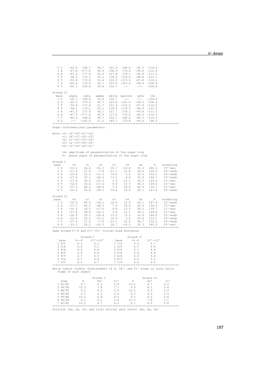| 2 <sub>c</sub><br>3 A<br>4 A<br>5 T<br>6 T<br>7 G<br>8 C<br>Strand II                                                                                       | $-60.8$<br>$-47.8$<br>$-47.2$ 177.9<br>$-58.2$ 174.1<br>$-50.8$ 172.8<br>$-65.4$<br>$-50.1$ 169.6                                                                                                             | 168.7<br>$-177.8$<br>179.0                                                         | 49.7<br>44.9<br>42.0 127.8<br>35.6 132.7                                                                                                                     | 101.9<br>136.9                                                      | 168.2<br>176.9<br>179.1<br>$\begin{array}{cccccc} 55.1 & 118.9 & -178.3 & -98.8 & -121.1 \\ 51.6 & 122.0 & -173.5 & -87.8 & -110.1 \\ 52.7 & 123.8 & -161.4 & -99.4 & -108.4 \end{array}$<br>$\frac{1}{2} \frac{1}{2} \frac{1}{2} \frac{1}{2} \frac{1}{2} \frac{1}{2} \frac{1}{2} \frac{1}{2} \frac{1}{2} \frac{1}{2} \frac{1}{2} \frac{1}{2} \frac{1}{2} \frac{1}{2} \frac{1}{2} \frac{1}{2} \frac{1}{2} \frac{1}{2} \frac{1}{2} \frac{1}{2} \frac{1}{2} \frac{1}{2} \frac{1}{2} \frac{1}{2} \frac{1}{2} \frac{1}{2} \frac{1}{2} \frac{1}{2} \frac{1}{2} \frac{1}{2} \frac{1}{2} \frac{$ | $-92.5 -116.4$<br>$-96.8 - 110.4$<br>$-93.8 -111.5$<br>$\frac{1}{2} \frac{1}{2} \frac{1}{2} \frac{1}{2} \frac{1}{2} \frac{1}{2} \frac{1}{2} \frac{1}{2} \frac{1}{2} \frac{1}{2} \frac{1}{2} \frac{1}{2} \frac{1}{2} \frac{1}{2} \frac{1}{2} \frac{1}{2} \frac{1}{2} \frac{1}{2} \frac{1}{2} \frac{1}{2} \frac{1}{2} \frac{1}{2} \frac{1}{2} \frac{1}{2} \frac{1}{2} \frac{1}{2} \frac{1}{2} \frac{1}{2} \frac{1}{2} \frac{1}{2} \frac{1}{2} \frac{$                                                     | $-104.6$                                                                            |                                                                                                       |
|-------------------------------------------------------------------------------------------------------------------------------------------------------------|---------------------------------------------------------------------------------------------------------------------------------------------------------------------------------------------------------------|------------------------------------------------------------------------------------|--------------------------------------------------------------------------------------------------------------------------------------------------------------|---------------------------------------------------------------------|-------------------------------------------------------------------------------------------------------------------------------------------------------------------------------------------------------------------------------------------------------------------------------------------------------------------------------------------------------------------------------------------------------------------------------------------------------------------------------------------------------------------------------------------------------------------------------------------|---------------------------------------------------------------------------------------------------------------------------------------------------------------------------------------------------------------------------------------------------------------------------------------------------------------------------------------------------------------------------------------------------------------------------------------------------------------------------------------------------------|-------------------------------------------------------------------------------------|-------------------------------------------------------------------------------------------------------|
| base<br>1 C<br>2 G<br>3 T<br>4 T<br>5 A<br>6 A<br>7 C<br>8 G<br>Sugar conformational parameters:                                                            | alpha<br>$-50.1$ 169.6<br>$-65.3$ 179.0<br>$-50.8$<br>$-58.1$<br>$-47.2$<br>$-47.8 -177.8$<br>$-60.9$<br>$   \,$                                                                                              | 172.8<br>174.1<br>177.9<br>168.8<br>$-142.0$                                       | 35.6 132.7<br>51.7<br>42.1 127.7                                                                                                                             | 121.9                                                               | beta gamma delta epsilon zeta<br>$\sim$ - $\sim$ - $\sim$<br>$52.7$ $123.8$ $-161.5$<br>$-173.5$<br>$55.1$ $118.8$ $-178.3$<br>179.1<br>44.9 137.0 176.9<br>49.7 102.1 168.2<br>51.0 145.1 179.8                                                                                                                                                                                                                                                                                                                                                                                          | $\frac{1}{2} \frac{1}{2} \frac{1}{2} \frac{1}{2} \frac{1}{2} \frac{1}{2} \frac{1}{2} \frac{1}{2} \frac{1}{2} \frac{1}{2} \frac{1}{2} \frac{1}{2} \frac{1}{2} \frac{1}{2} \frac{1}{2} \frac{1}{2} \frac{1}{2} \frac{1}{2} \frac{1}{2} \frac{1}{2} \frac{1}{2} \frac{1}{2} \frac{1}{2} \frac{1}{2} \frac{1}{2} \frac{1}{2} \frac{1}{2} \frac{1}{2} \frac{1}{2} \frac{1}{2} \frac{1}{2} \frac{$<br>$-99.3 - 108.4$<br>$-87.8$<br>$-98.8 -121.1$<br>$-93.8 -111.5$<br>$-96.9 - 110.4$<br>$-92.5$<br>$-95.6$ | chi<br>$-104.6$<br>$-110.2$<br>$-116.3$<br>$-96.5$                                  |                                                                                                       |
| Note: v0: C4'-04'-C1'-C2'                                                                                                                                   | $v1: 04'-C1'-C2'-C3'$<br>v2: C1'-C2'-C3'-C4'<br>v3: C2'-C3'-C4'-04'<br>$v4: C3' - C4' - O4' - C1'$<br>tm: amplitude of pseudorotation of the sugar ring<br>P: phase angle of pseudorotation of the sugar ring |                                                                                    |                                                                                                                                                              |                                                                     |                                                                                                                                                                                                                                                                                                                                                                                                                                                                                                                                                                                           |                                                                                                                                                                                                                                                                                                                                                                                                                                                                                                         |                                                                                     |                                                                                                       |
| Strand I<br>base<br>1 G<br>$2\degree$ C<br>3 A<br>4 A<br>5 T<br>6 T<br>7 G<br>8 C                                                                           | v0<br>$-10.3$<br>$-37.4$<br>$-25.4$<br>$-27.0$<br>$-37.8$<br>$-32.0$<br>$-37.0$<br>$-35.4$                                                                                                                    | v1<br>26.6<br>27.4<br>35.3<br>35.1<br>38.9<br>36.6<br>40.2<br>45.9                 | v2<br>$-32.3$<br>$-7.8 - 13.7$<br>$\begin{array}{lll} -31.2 & \quad 16.9 \\ -28.4 & \quad 13.2 \end{array}$<br>$-25.2$<br>$-27.6$<br>$-28.4$<br>$-38.1$ 18.4 | v3<br>26.7<br>3.9<br>9.9<br>7.5                                     | v4<br>$-10.6$<br>31.8<br>5.0<br>21.1<br>13.7<br>18.6<br>10.9                                                                                                                                                                                                                                                                                                                                                                                                                                                                                                                              | tm<br>32.3<br>$5.0$ 35.0<br>8.4 33.9<br>21.1<br>39.5 129.6<br>40.4 134.7<br>45.1                                                                                                                                                                                                                                                                                                                                                                                                                        | P<br>180.3<br>36.6 102.2<br>153.1<br>146.7<br>36.3 139.6<br>147.8                   | Puckering<br>СЗ'-ехо<br>04'-endo<br>C2'-endo<br>C2'-endo<br>Cl'-exo<br>C1'-exo<br>C1'-exo<br>C2'-endo |
|                                                                                                                                                             |                                                                                                                                                                                                               |                                                                                    |                                                                                                                                                              |                                                                     |                                                                                                                                                                                                                                                                                                                                                                                                                                                                                                                                                                                           |                                                                                                                                                                                                                                                                                                                                                                                                                                                                                                         |                                                                                     |                                                                                                       |
| Strand II<br>base<br>$1\,c$<br>2 G<br>3 T<br>4 T<br>5 A<br>6 A<br>7 C<br>8 G<br>Same strand P--P and C1'--C1' virtual bond distances                        | V <sup>0</sup><br>$-35.4$<br>$-37.1$<br>$-32.0$<br>$-37.8$<br>$-26.9$<br>$-25.4$<br>$-37.4$<br>$-10.3$                                                                                                        | v1<br>45.9<br>$40.3 -28.5$<br>36.5<br>38.8<br>35.1<br>35.3<br>27.4<br>$26.5 -32.3$ | v2<br>$-38.2$<br>$-27.6$<br>$-25.2$<br>$-28.4$<br>$-31.2$ 16.9<br>$-7.8$                                                                                     | v3<br>18.4<br>7.6<br>9.9<br>3.9<br>13.2<br>$-13.7$<br>26.7          | $\nabla 4$<br>10.9<br>18.6<br>13.6<br>21.1<br>8.3<br>5.0<br>31.8<br>$-10.5$ 32.3                                                                                                                                                                                                                                                                                                                                                                                                                                                                                                          | tm<br>45.1<br>40.4<br>36.2<br>39.5<br>36.7                                                                                                                                                                                                                                                                                                                                                                                                                                                              | P<br>147.9<br>134.8<br>139.7<br>129.6<br>33.9 146.8<br>35.0 153.1<br>102.2<br>180.2 | Puckering<br>C2'-endo<br>С1'-ехо<br>Cl'-exo<br>Cl'-exo<br>C2'-endo<br>C2'-endo<br>04'-endo<br>СЗ'-ехо |
|                                                                                                                                                             |                                                                                                                                                                                                               |                                                                                    |                                                                                                                                                              |                                                                     |                                                                                                                                                                                                                                                                                                                                                                                                                                                                                                                                                                                           |                                                                                                                                                                                                                                                                                                                                                                                                                                                                                                         |                                                                                     |                                                                                                       |
| base<br>1 G/C<br>2 C/A<br>3 A/A<br>$4\ \mathrm{A/T}$<br>5 T/T<br>6T/G<br>7 G/C<br>Helix radius (radial displacement of P, 04', and C1' atoms in local helix | 6.3<br>6.6<br>6.9<br>6.8<br>$6.7\,$<br>6.7<br>6.5<br>frame of each dimer)                                                                                                                                     | Strand I<br>$P = -P$ $C1' = -C1'$                                                  | 4.5<br>5.2<br>4.8<br>4.8<br>4.9<br>4.8<br>4.7                                                                                                                | base<br>1 C/G<br>2 G/T<br>3 T/T<br>4 T/A<br>5 A/A<br>6 A/C<br>7 C/G |                                                                                                                                                                                                                                                                                                                                                                                                                                                                                                                                                                                           | Strand II<br>$P = -P$<br>6.5<br>6.7<br>6.7<br>6.8<br>6.9<br>6.6<br>6.4                                                                                                                                                                                                                                                                                                                                                                                                                                  | $C1' -- C1'$<br>4.7<br>4.8<br>4.9<br>4.8<br>4.8<br>5.2<br>4.5                       |                                                                                                       |
|                                                                                                                                                             |                                                                                                                                                                                                               |                                                                                    |                                                                                                                                                              |                                                                     |                                                                                                                                                                                                                                                                                                                                                                                                                                                                                                                                                                                           |                                                                                                                                                                                                                                                                                                                                                                                                                                                                                                         |                                                                                     |                                                                                                       |
| step<br>1 GC/GC<br>2 CA/TG<br>3 AA/TT<br>$4$ $AT/AT$<br>5 TT/AA<br>6 TG/CA<br>7 GC/GC<br>***********                                                        | P<br>9.7<br>10.3<br>9.2<br>9.7<br>10.3<br>9.3<br>10.2                                                                                                                                                         | ********                                                                           | Strand I<br>04'<br>6.3<br>7.8<br>6.0<br>6.3<br>6.9<br>6.1<br>6.7<br>********                                                                                 | $C1$ '<br>5.8<br>7.1<br>5.6<br>5.9<br>6.5<br>5.6<br>6.2<br>******   | $\mathbb{P}$<br>10.2<br>9.3<br>10.3<br>9.7<br>9.2<br>10.3<br>9.7                                                                                                                                                                                                                                                                                                                                                                                                                                                                                                                          | *********                                                                                                                                                                                                                                                                                                                                                                                                                                                                                               | Strand II<br>04'<br>6.7<br>6.1<br>6.9<br>6.3<br>6.0<br>7.8<br>6.3<br>*******        | C1<br>6.2<br>5.6<br>6.5<br>5.9<br>5.6<br>7.1<br>5.8<br>***********                                    |

Position (Px, Py, Pz) and local helical axis vector (Hx, Hy, Hz)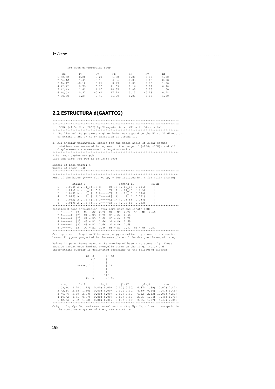#### for each dinucleotide step

| bp        | Рx      | Ρv      | Ρz    | Нx      | Ηv      | Hz   |
|-----------|---------|---------|-------|---------|---------|------|
| $1$ GC/GC | 0.28    | 0.21    | 1.58  | 0.00    | 0.00    | 1.00 |
| 2 CA/TG   | 1.43    | $-0.13$ | 4.86  | $-0.05$ | 0.18    | 0.98 |
| 3 AA/TT   | $-0.18$ | 0.22    | 8.13  | 0.08    | 0.00    | 1.00 |
| 4 AT/AT   | 0.79    | 0.28    | 11.33 | 0.16    | 0.07    | 0.98 |
| 5 TT/AA   | 1.41    | 1.00    | 14.55 | 0.05    | 0.05    | 1.00 |
| 6 TG/CA   | 0.87    | $-0.61$ | 17.78 | 0.13    | $-0.16$ | 0.98 |
| 7 GC/GC   | 1.24    | 0.47    | 21.09 | 0.01    | $-0.02$ | 1.00 |

#### **2.2 ESTRUCTURA d(GAATTCG)**

\*\*\*\*\*\*\*\*\*\*\*\*\*\*\*\*\*\*\*\*\*\*\*\*\*\*\*\*\*\*\*\*\*\*\*\*\*\*\*\*\*\*\*\*\*\*\*\*\*\*\*\*\*\*\*\*\*\*\*\*\*\*\*\*\*\*\*\*\*\*\*\*\*\*\*\* \*\*\*\*\*\*\*\*\*\*\*\*\*\*\*\*\*\*\*\*\*\*\*\*\*\*\*\*\*\*\*\*\*\*\*\*\*\*\*\*\*\*\*\*\*\*\*\*\*\*\*\*\*\*\*\*\*\*\*\*\*\*\*\*\*\*\*\*\*\*\*\*\*\*\*\*

 3DNA (v1.5, Nov. 2002) by Xiang-Jun Lu at Wilma K. Olson's Lab. \*\*\*\*\*\*\*\*\*\*\*\*\*\*\*\*\*\*\*\*\*\*\*\*\*\*\*\*\*\*\*\*\*\*\*\*\*\*\*\*\*\*\*\*\*\*\*\*\*\*\*\*\*\*\*\*\*\*\*\*\*\*\*\*\*\*\*\*\*\*\*\*\*\*\*\* 1. The list of the parameters given below correspond to the 5' to 3' direction of strand I and 3' to 5' direction of strand II.

2. All angular parameters, except for the phase angle of sugar pseudo rotation, are measured in degrees in the range of [-180, +180], and all displacements are measured in Angstrom units. \*\*\*\*\*\*\*\*\*\*\*\*\*\*\*\*\*\*\*\*\*\*\*\*\*\*\*\*\*\*\*\*\*\*\*\*\*\*\*\*\*\*\*\*\*\*\*\*\*\*\*\*\*\*\*\*\*\*\*\*\*\*\*\*\*\*\*\*\*\*\*\*\*\*\*\*

File name: duplex\_new.pdb Date and time: Fri Dec 12 18:03:36 2003

Number of base-pairs: 6 Number of atoms: 240 \*\*\*\*\*\*\*\*\*\*\*\*\*\*\*\*\*\*\*\*\*\*\*\*\*\*\*\*\*\*\*\*\*\*\*\*\*\*\*\*\*\*\*\*\*\*\*\*\*\*\*\*\*\*\*\*\*\*\*\*\*\*\*\*\*\*\*\*\*\*\*\*\*\*\*\* \*\*\*\*\*\*\*\*\*\*\*\*\*\*\*\*\*\*\*\*\*\*\*\*\*\*\*\*\*\*\*\*\*\*\*\*\*\*\*\*\*\*\*\*\*\*\*\*\*\*\*\*\*\*\*\*\*\*\*\*\*\*\*\*\*\*\*\*\*\*\*\*\*\*\*\* RMSD of the bases (----- for WC bp, + for isolated bp, x for helix change)

Strand I Strand II Helix<br>
2 (0.024) A:...1 [..G]G-----C[..C]:..12 [B (0.016) |<br>
2 (0.016) A:...2 [..A]A-----T[..T]:..11 [B (0.025) |<br>
3 (0.028) A:...3 [..A]A-----T[..T]:..10 [B (0.046) |<br>
4 (0.026) A:...4 [..T]T-----A[..A] \*\*\*\*\*\*\*\*\*\*\*\*\*\*\*\*\*\*\*\*\*\*\*\*\*\*\*\*\*\*\*\*\*\*\*\*\*\*\*\*\*\*\*\*\*\*\*\*\*\*\*\*\*\*\*\*\*\*\*\*\*\*\*\*\*\*\*\*\*\*\*\*\*\*\*\* Detailed H-bond information: atom-name pair and length [ON] 1 G-----C [3] N2 - O2 2.72 N1 - N3 2.72 O6 - N4 2.66 2 A-----T [2] N1 - N3 2.72 N6 - O4 2.66 3 A-----T [2] N1 - N3 2.60 N6 - O4 2.72 4 T-----A [2] N3 - N1 2.66 O4 - N6 2.69 5 T-----A [2] N3 - N1 2.66 O4 - N6 2.68 6 C-----G [3] O2 - N2 2.86 N3 - N1 2.82 N4 - O6 2.82 \*\*\*\*\*\*\*\*\*\*\*\*\*\*\*\*\*\*\*\*\*\*\*\*\*\*\*\*\*\*\*\*\*\*\*\*\*\*\*\*\*\*\*\*\*\*\*\*\*\*\*\*\*\*\*\*\*\*\*\*\*\*\*\*\*\*\*\*\*\*\*\*\*\*\*\*

Overlap area in Angstrom^2 between polygons defined by atoms on successive bases. Polygons projected in the mean plane of the designed base-pair step.

Values in parentheses measure the overlap of base ring atoms only. Those outside parentheses include exocyclic atoms on the ring. Intra- and inter-strand overlap is designated according to the following diagram:



the coordinate system of the given structure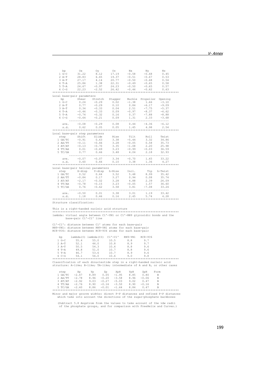| bp                                            | Ox            | Oy            | Oz                                | Nх      | Ny                                     | Νz      |
|-----------------------------------------------|---------------|---------------|-----------------------------------|---------|----------------------------------------|---------|
| $1 G-C$                                       | 31.22         | 8.12          | 17.19                             | $-0.58$ | $-0.68$                                | 0.45    |
| $2 A-T$                                       | 28.83         | 6.65          | 19.37                             | $-0.51$ | $-0.67$                                | 0.53    |
| $3 A-T$                                       | 27.17         | 4.14          | 20.77                             | $-0.50$ | $-0.68$                                | 0.54    |
| $4$ T-A                                       | 25.86         | 1.38          | 22.31                             | $-0.49$ | $-0.65$                                | 0.58    |
| $5T - A$                                      | 24.67         | $-0.97$       | 24.23                             | $-0.50$ | $-0.65$                                | 0.57    |
| $6C-G$                                        |               | $22.23 -2.52$ | 26.42                             | $-0.46$ | $-0.62$                                | 0.63    |
|                                               |               |               |                                   |         |                                        |         |
|                                               |               |               |                                   |         |                                        |         |
| Local base-pair parameters                    |               |               |                                   |         |                                        |         |
| bp                                            |               |               |                                   |         | Shear Stretch Stagger Buckle Propeller | Opening |
| $1 G-C$                                       | 0.24          | $-0.29$       | 0.02                              | $-1.38$ | 1.66                                   | $-3.10$ |
| $2 A-T$                                       | $0.77 - 0.29$ |               | 0.10                              | 0.84    | $-6.17$                                | $-9.09$ |
| $3 A-T$                                       | 0.34          | $-0.33$       | 0.04                              | 2.51    | $-7.75$                                | $-5.37$ |
| $4$ T-A                                       | $-0.46$       | $-0.33$       | 0.09                              | $-0.97$ | $-8.37$                                | $-6.62$ |
| 5 T-A                                         | $-0.74$       | $-0.32$       | 0.16                              | 0.37    | $-7.88$                                | $-8.88$ |
| $6C-G$                                        | $-0.64$       | $-0.21$       | 0.09                              | 1.31    | 2.33                                   | $-3.68$ |
|                                               |               |               |                                   |         |                                        |         |
| ave.                                          |               |               | $-0.08$ $-0.29$ 0.08 0.44 $-4.36$ |         |                                        | $-6.12$ |
| s.d.                                          | 0.62          | 0.05          | $0.05$ 1.45                       |         | 4.98                                   | 2.54    |
|                                               |               |               |                                   |         |                                        |         |
| Local base-pair step parameters               |               |               |                                   |         |                                        |         |
|                                               |               |               | step Shift Slide Rise             | Tilt    | Roll                                   | Twist   |
| 1 GA/TC -0.91                                 |               |               |                                   |         |                                        |         |
|                                               |               | 0.63          | 3.38                              | $-5.44$ | 3.32                                   | 34.86   |
| 2 AA/TT                                       | $-0.11$       | $-0.46$       | 3.28                              | $-0.05$ | 0.58                                   | 35.73   |
| 3 AT/AT                                       | $-0.13$       | $-0.70$       | 3.35                              | $-1.08$ | 2.20                                   | 25.98   |
| 4 TT/AA                                       | 0.01          | $-0.49$       | 3.23                              |         | $-0.99 - 0.03$                         | 36.59   |
| 5 TC/GA                                       | 0.77          | 0.66          | 3.48                              |         | 4.04 2.18                              | 32.93   |
|                                               |               |               |                                   |         |                                        |         |
| ave.                                          |               |               | $-0.07$ $-0.07$ $3.34$ $-0.70$    |         | 1.65                                   | 33.22   |
| s.d.                                          | 0.60          | 0.66          | 0.10                              | 3.38    | 1.36                                   | 4.27    |
|                                               |               |               |                                   |         |                                        |         |
| Local base-pair helical parameters            |               |               |                                   |         |                                        |         |
|                                               |               |               | step X-disp Y-disp h-Rise Incl.   |         | Tip h-Twist                            |         |
| 1 GA/TC                                       | 0.52          |               | $0.64$ 3.52                       |         | 5.48 8.99                              | 35.42   |
| 2 AA/TT                                       | $-0.84$       | 0.17          | 3.27                              | 0.94    | 0.08                                   | 35.74   |
| 3 AT/AT                                       | $-2.17$       | $-0.02$       | 3.28                              | 4.88    | 2.39                                   | 26.09   |
| 4 TT/AA                                       | $-0.78$       | $-0.15$       | $3.23 - 0.05$                     |         | 1.57                                   | 36.60   |
| 5 TC/GA                                       | 0.76          | $-0.62$       | 3.58                              | 3.81    | $-7.08$                                | 33.24   |
|                                               |               |               |                                   |         |                                        |         |
| ave.                                          | $-0.50$       |               | $0.01$ 3.38                       | 3.01    | 1.19                                   | 33.42   |
| s.d.                                          | 1.18          | 0.46          | 0.16                              | 2.45    | 5.74                                   | 4.28    |
|                                               |               |               |                                   |         |                                        |         |
| Structure classification:                     |               |               |                                   |         |                                        |         |
|                                               |               |               |                                   |         |                                        |         |
| This is a right-handed nucleic acid structure |               |               |                                   |         |                                        |         |
|                                               |               |               |                                   |         |                                        |         |
|                                               |               |               |                                   |         |                                        |         |

\*\*\*\*\*\*\*\*\*\*\*\*\*\*\*\*\*\*\*\*\*\*\*\*\*\*\*\*\*\*\*\*\*\*\*\*\*\*\*\*\*\*\*\*\*\*\*\*\*\*\*\*\*\*\*\*\*\*\*\*\*\*\*\*\*\*\*\*\*\*\*\*\*\*\*\* lambda: virtual angle between C1'-YN1 or C1'-RN9 glycosidic bonds and the base-pair C1'-C1' line

C1'-C1': distance between C1' atoms for each base-pair RN9-YN1: distance between RN9-YN1 atoms for each base-pair RC8-YC6: distance between RC8-YC6 atoms for each base-pair

| bp       |      | lambda(I) lambda(II) | $C1'-C1$ | RN9-YN1 | $RC8 - YC6$ |  |
|----------|------|----------------------|----------|---------|-------------|--|
| $1 G-C$  | 55.4 | 55.0                 | 10.5     | 8.8     | 9.7         |  |
| $2 A-T$  | 52.1 | 46.0                 | 10.8     | 8.9     | 9.7         |  |
| $3 A-T$  | 50.5 | 54.3                 | 10.6     | 8.8     | 9.6         |  |
| $4$ T-A  | 49.8 | 51.0                 | 10.7     | 8.8     | 9.6         |  |
| $5T - A$ | 46.7 | 53.6                 | 10.7     | 8.9     | 9.6         |  |
| $6C-G$   | 54.1 | 56.0                 | 10.6     | 9.0     | 9.8         |  |
|          |      |                      |          |         |             |  |

\*\*\*\*\*\*\*\*\*\*\*\*\*\*\*\*\*\*\*\*\*\*\*\*\*\*\*\*\*\*\*\*\*\*\*\*\*\*\*\*\*\*\*\*\*\*\*\*\*\*\*\*\*\*\*\*\*\*\*\*\*\*\*\*\*\*\*\*\*\*\*\*\*\*\*\* Classification of each dinucleotide step in a right-handed nucleic acid structure: A-like; B-like; TA-like; intermediate of A and B, or other cases

| step        | Xp      | Υp   | Zp      | XpH     | YpH  | ZpH     | Form           |  |
|-------------|---------|------|---------|---------|------|---------|----------------|--|
| 1 GA/TC     | $-2.47$ | 8.89 | 0.05    | $-1.95$ | 8.85 | 0.80    | B <sub>1</sub> |  |
| $2$ $AA/TT$ | $-2.78$ | 8.96 | $-0.20$ | $-3.58$ | 8.96 | $-0.06$ | B              |  |
| $3$ $AT/AT$ | $-2.92$ | 9.03 | $-0.27$ | $-5.03$ | 9.02 | 0.47    | B <sub>1</sub> |  |
| 4 TT/AA     | $-2.76$ | 8.90 | $-0.16$ | $-3.50$ | 8.90 | $-0.16$ | B <sub>1</sub> |  |
| 5 TC/GA     | $-2.40$ | 8.86 | $-0.01$ | $-1.64$ | 8.84 | 0 47    | B              |  |
| *********** |         |      |         |         |      |         |                |  |

\*\*\*\*\*\*\*\*\*\*\*\*\*\*\*\*\*\*\*\*\*\*\*\*\*\*\*\*\*\*\*\*\*\*\*\*\*\*\*\*\*\*\*\*\*\*\*\*\*\*\*\*\*\*\*\*\*\*\*\*\*\*\*\*\*\*\*\*\*\*\*\*\*\*\*\* Minor and major groove widths: direct P-P distances and refined P-P distances which take into account the directions of the sugar-phosphate backbones

(Subtract 5.8 Angstrom from the values to take account of the vdw radii of the phosphate groups, and for comparison with FreeHelix and Curves.)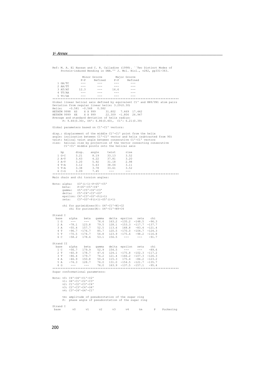Ref: M. A. El Hassan and C. R. Calladine (1998). ``Two Distinct Modes of Protein-induced Bending in DNA.'' J. Mol. Biol., v282, pp331-343. Minor Groove Major Groove P-P Refined P-P Refined P-P Refined P-P Refined P-P Refined P-P Refined P-P Refined P-P Refined P-P Refined P-P  $\frac{1}{2}$  Refined P-P Refined P-P Refined P-P Refined P-P Refined P-P Refined P-P  $\frac{1}{2}$  Refined P-P Refine  $1$  GA/TC 2 AA/TT --- --- --- --- 3 AT/AT 12.3 --- 16.6 --- 4 TT/AA --- --- --- --- 5 TC/GA --- --- --- --- \*\*\*\*\*\*\*\*\*\*\*\*\*\*\*\*\*\*\*\*\*\*\*\*\*\*\*\*\*\*\*\*\*\*\*\*\*\*\*\*\*\*\*\*\*\*\*\*\*\*\*\*\*\*\*\*\*\*\*\*\*\*\*\*\*\*\*\*\*\*\*\*\*\*\*\* Global linear helical axis defined by equivalent C1' and RN9/YN1 atom pairs Deviation from regular linear helix: 3.29(0.30) Helix: -0.581 -0.568 0.582 HETATM 9998 XS X X 999 31.802 7.469 17.442 HETATM 9999 XE X X 999 22.309 -1.806 26.947 Average and standard deviation of helix radius: P: 9.64(0.30), O4': 6.86(0.40), C1': 6.21(0.39) Global parameters based on C1'-C1' vectors: disp.: displacement of the middle C1'-C1' point from the helix<br>angle: inclination between C1'-C1' vector and helix (subtracted from 90)<br>twist: helical twist angle between consecutive C1'-C1' vectors<br>rise: belical twist ang bp disp. angle twist rise 1 G-C 3.21 8.19 33.13 3.52 2 A-T 3.43 4.22 37.81 3.20 3 A-T 3.20 5.92 31.18 2.98 4 T-A 3.12 5.63 38.04 3.11 5 T-A 3.38 3.78 33.61 3.52 6 C-G 3.09 7.45 --- --- \*\*\*\*\*\*\*\*\*\*\*\*\*\*\*\*\*\*\*\*\*\*\*\*\*\*\*\*\*\*\*\*\*\*\*\*\*\*\*\*\*\*\*\*\*\*\*\*\*\*\*\*\*\*\*\*\*\*\*\*\*\*\*\*\*\*\*\*\*\*\*\*\*\*\*\* Main chain and chi torsion angles: Note: alpha: 03'(i-1)-P-05'-C5'<br>
beta: P-O5'-C5'-C4'-C3'<br>
gamma: 05'-C5'-C4'-C3'<br>
delta: C5'-C4'-C3'-O3'<br>
epsilon: C4'-C3'-O3'-P(i+1) zeta:  $C3' - D3' - P(i+1) - 05' (i+1)$  chi for pyrimidines(Y): O4'-C1'-N1-C2 chi for purines(R): O4'-C1'-N9-C4 Strand I base alpha beta gamma delta epsilon zeta chi 1 G --- --- 76.6 163.2 -135.2 -148.5 -96.3 2 A -78.1 123.8 79.5 128.1 -153.3 -117.7 -137.7 3 A -55.4 157.7 52.5 113.6 168.8 -83.4 -121.4 4 T -96.7 -176.7 85.7 120.5 -170.0 -104.7 -124.3 5 T -70.5 -174.7 54.8 123.9 -175.6 -98.2 -116.8 6 C -58.2 178.6 53.1 156.5 --- --- -91.7 Strand II<br>base alpha base alpha beta gamma delta epsilon zeta chi 1 C -56.7 179.9 52.9 154.5 --- --- -89.6  $\begin{array}{lllllllll} 2&\text{T} & -60.9 & 178.7 & 47.6 & 124.1 & -175.8 & -102.3 & -117.2 \\ 3&\text{T} & -86.4 & 179.7 & 74.2 & 121.4 & -166.2 & -107.3 & -126.3 \\ 4&\text{A} & -46.9 & 150.8 & 50.4 & 115.3 & 175.4 & -86.2 & -123.2 \\ 5&\text{A} & -74.3 & 128.7 & 76.0 & 131.0 & -154.5 & -1$ Superman Conformational parameters:<br>Sugar conformational parameters: Note: v0: C4'-O4'-C1'-C2' v1: O4'-C1'-C2'-C3' v2: C1'-C2'-C3'-C4' v3: C2'-C3'-C4'-O4' v4: C3'-C4'-O4'-C1' tm: amplitude of pseudorotation of the sugar ring P: phase angle of pseudorotation of the sugar ring Strand I<br>base

v0 v1 v2 v3 v4 tm P Puckering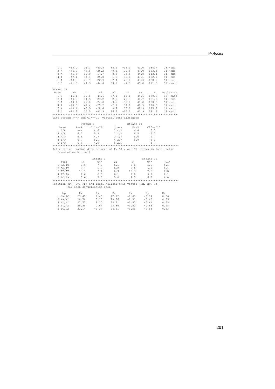| 1 G<br>4 T     | 2 A<br>3A<br>5 T<br>6 C | $-10.0$<br>$-46.9$<br>$-45.5$<br>$-47.1$<br>$-43.3$<br>$-21.3$                                                                                                                                                                                                                                                                                                                                                                                                             | 31.3<br>$-40.8$<br>43.5<br>$-26.2$<br>$37.0 -17.7$<br>44.1<br>$-25.0$<br>$40.1 -22.3$<br>$41.3 -44.4$ | 35.5<br>$-0.5$<br>$-8.5$<br>$-1.5$<br>$-2.4$<br>33.2                      | $-16.0$<br>29.5<br>35.5<br>30.0<br>28.8<br>$-7.7$ | 41.0<br>47.0<br>44.8<br>47.1<br>43.4<br>45.0 | 184.7<br>123.8<br>113.4<br>122.1<br>120.9<br>171.0 | $C3 - exo$<br>$C1 - exo$<br>$C1$ '-exo<br>$C1$ '-exo<br>$C1$ '-exo<br>$C2$ '-endo |
|----------------|-------------------------|----------------------------------------------------------------------------------------------------------------------------------------------------------------------------------------------------------------------------------------------------------------------------------------------------------------------------------------------------------------------------------------------------------------------------------------------------------------------------|-------------------------------------------------------------------------------------------------------|---------------------------------------------------------------------------|---------------------------------------------------|----------------------------------------------|----------------------------------------------------|-----------------------------------------------------------------------------------|
| Strand II      |                         |                                                                                                                                                                                                                                                                                                                                                                                                                                                                            |                                                                                                       |                                                                           |                                                   |                                              |                                                    |                                                                                   |
| base           |                         | $v_{0}$                                                                                                                                                                                                                                                                                                                                                                                                                                                                    | v1<br>v2                                                                                              | v3                                                                        | $\nabla 4$                                        | tm                                           | P                                                  | Puckering                                                                         |
| 1 <sup>c</sup> |                         | $-15.1$                                                                                                                                                                                                                                                                                                                                                                                                                                                                    | 37.8<br>$-44.6$                                                                                       | 37.1                                                                      | $-14.1$                                           | 44.6                                         | 179.3                                              | C2'-endo                                                                          |
| 2 T            |                         | $-44.3$                                                                                                                                                                                                                                                                                                                                                                                                                                                                    | 41.5<br>$-23.2$                                                                                       | $-2.0$                                                                    | 29.7                                              | 44.7                                         |                                                    | 121.3 C1'-exo                                                                     |
|                | 3 T                     | $-49.1$                                                                                                                                                                                                                                                                                                                                                                                                                                                                    | 42.8<br>$-24.0$                                                                                       | $-3.2$                                                                    | 32.8                                              | 48.0                                         | 120.0                                              | Cl'-exo                                                                           |
| 4 A            |                         | $-49.8$                                                                                                                                                                                                                                                                                                                                                                                                                                                                    | $44.4 -25.2$                                                                                          | $-2.9$                                                                    | 34.1                                              |                                              | 49.5 120.6                                         | $C1$ '-exo                                                                        |
|                | 5 A                     | $-49.4$                                                                                                                                                                                                                                                                                                                                                                                                                                                                    | 45.5<br>$-28.4$                                                                                       | 0.9                                                                       | 30.0                                              | 49.3                                         | 125.2                                              | $C1$ '-exo                                                                        |
| 6 G            |                         | $-12.9$                                                                                                                                                                                                                                                                                                                                                                                                                                                                    | $-41.9$<br>35.5                                                                                       | 36.9                                                                      | $-15.1$                                           | 41.9                                         | 181.6                                              | $C3 - exo$                                                                        |
|                |                         |                                                                                                                                                                                                                                                                                                                                                                                                                                                                            |                                                                                                       |                                                                           |                                                   |                                              |                                                    |                                                                                   |
|                |                         |                                                                                                                                                                                                                                                                                                                                                                                                                                                                            |                                                                                                       | Same strand P--P and C1'--C1' virtual bond distances                      |                                                   |                                              |                                                    |                                                                                   |
|                |                         |                                                                                                                                                                                                                                                                                                                                                                                                                                                                            | Strand I                                                                                              |                                                                           |                                                   | Strand II                                    |                                                    |                                                                                   |
|                | base                    | $P = -P$                                                                                                                                                                                                                                                                                                                                                                                                                                                                   | $C1' -- C1'$                                                                                          |                                                                           | base                                              | $P = -P$                                     | $C1' -- C1'$                                       |                                                                                   |
|                | 1 G/A                   | $\frac{1}{2} \left( \frac{1}{2} \right) \left( \frac{1}{2} \right) \left( \frac{1}{2} \right) \left( \frac{1}{2} \right) \left( \frac{1}{2} \right) \left( \frac{1}{2} \right) \left( \frac{1}{2} \right) \left( \frac{1}{2} \right) \left( \frac{1}{2} \right) \left( \frac{1}{2} \right) \left( \frac{1}{2} \right) \left( \frac{1}{2} \right) \left( \frac{1}{2} \right) \left( \frac{1}{2} \right) \left( \frac{1}{2} \right) \left( \frac{1}{2} \right) \left( \frac$ | 4.6                                                                                                   |                                                                           | 1 C/T                                             | 6.4                                          | 5.0                                                |                                                                                   |
|                | 2 A/A                   | 6.7                                                                                                                                                                                                                                                                                                                                                                                                                                                                        | 5.3                                                                                                   |                                                                           | 2 T/T                                             | 6.5                                          | 5.0                                                |                                                                                   |
|                | 3 A/T                   | 6.6                                                                                                                                                                                                                                                                                                                                                                                                                                                                        | 4.7                                                                                                   |                                                                           | 3 T/A                                             | 6.6                                          | 4.7                                                |                                                                                   |
|                | 4 T/T                   | 6.7                                                                                                                                                                                                                                                                                                                                                                                                                                                                        | 5.1                                                                                                   |                                                                           | 4 A/A                                             | 6.9                                          | 5.1                                                |                                                                                   |
|                | 5T/C                    | 6.4                                                                                                                                                                                                                                                                                                                                                                                                                                                                        | 4.9                                                                                                   |                                                                           | 5 A/G                                             | $\qquad \qquad - -$                          | 4.7                                                |                                                                                   |
|                |                         |                                                                                                                                                                                                                                                                                                                                                                                                                                                                            |                                                                                                       |                                                                           |                                                   |                                              |                                                    |                                                                                   |
|                |                         |                                                                                                                                                                                                                                                                                                                                                                                                                                                                            |                                                                                                       | Helix radius (radial displacement of P, 04', and C1' atoms in local helix |                                                   |                                              |                                                    |                                                                                   |
|                |                         | frame of each dimer)                                                                                                                                                                                                                                                                                                                                                                                                                                                       |                                                                                                       |                                                                           |                                                   |                                              |                                                    |                                                                                   |
|                |                         |                                                                                                                                                                                                                                                                                                                                                                                                                                                                            |                                                                                                       |                                                                           |                                                   |                                              |                                                    |                                                                                   |
|                |                         |                                                                                                                                                                                                                                                                                                                                                                                                                                                                            |                                                                                                       |                                                                           |                                                   |                                              |                                                    |                                                                                   |
|                |                         |                                                                                                                                                                                                                                                                                                                                                                                                                                                                            | Strand I                                                                                              |                                                                           |                                                   |                                              | Strand II                                          |                                                                                   |
|                | step                    | $\mathbb{P}$                                                                                                                                                                                                                                                                                                                                                                                                                                                               | 04'                                                                                                   | $C1$ '                                                                    | $\mathbb{P}$                                      |                                              | 04'                                                | C1'                                                                               |
|                | 1 GA/TC                 | 9.6                                                                                                                                                                                                                                                                                                                                                                                                                                                                        | 7.0                                                                                                   | 6.1                                                                       | 8.6                                               |                                              | 5.6                                                | 5.1                                                                               |
|                | $2$ AA/TT               | 9.7                                                                                                                                                                                                                                                                                                                                                                                                                                                                        | 6.9                                                                                                   | 6.2                                                                       | 9.6                                               |                                              | 6.7                                                | 6.1                                                                               |
|                | 3 A T/AT                | 10.3                                                                                                                                                                                                                                                                                                                                                                                                                                                                       | 7.4                                                                                                   | 6.9                                                                       | 10.3                                              |                                              | 7.3                                                | 6.8                                                                               |
|                | 4 TT/AA                 | 9.6                                                                                                                                                                                                                                                                                                                                                                                                                                                                        | 6.6                                                                                                   | 6.1                                                                       | 9.6                                               |                                              | 6.7                                                | 6.1                                                                               |
|                | 5 TC/GA                 | 8.6                                                                                                                                                                                                                                                                                                                                                                                                                                                                        | 5.6                                                                                                   | 5.0                                                                       | 9.5                                               |                                              | 6.8                                                | 6.0                                                                               |
|                |                         |                                                                                                                                                                                                                                                                                                                                                                                                                                                                            |                                                                                                       |                                                                           |                                                   |                                              |                                                    |                                                                                   |
|                |                         |                                                                                                                                                                                                                                                                                                                                                                                                                                                                            | for each dinucleotide step                                                                            | Position (Px, Py, Pz) and local helical axis vector (Hx, Hy, Hz)          |                                                   |                                              |                                                    |                                                                                   |
|                |                         |                                                                                                                                                                                                                                                                                                                                                                                                                                                                            |                                                                                                       |                                                                           |                                                   |                                              |                                                    |                                                                                   |
|                | bp                      | Px                                                                                                                                                                                                                                                                                                                                                                                                                                                                         | Pv.                                                                                                   | Pz                                                                        | Hx                                                |                                              | Hv                                                 | Ηz                                                                                |
|                | 1 GA/TC                 | 29.47                                                                                                                                                                                                                                                                                                                                                                                                                                                                      | 7.45                                                                                                  | 17.72                                                                     | $-0.63$                                           |                                              | $-0.54$                                            | 0.56                                                                              |
|                | $2$ AA/TT               | 28.70                                                                                                                                                                                                                                                                                                                                                                                                                                                                      | 5.10                                                                                                  | 20.36                                                                     | $-0.51$                                           |                                              | $-0.66$                                            | 0.55                                                                              |
|                | 3 AT/AT<br>4 TT/AA      | 27.77<br>25.30                                                                                                                                                                                                                                                                                                                                                                                                                                                             | 3.10<br>0.67                                                                                          | 23.21<br>23.86                                                            | $-0.57$<br>$-0.50$                                |                                              | $-0.61$<br>$-0.66$                                 | 0.55<br>0.55                                                                      |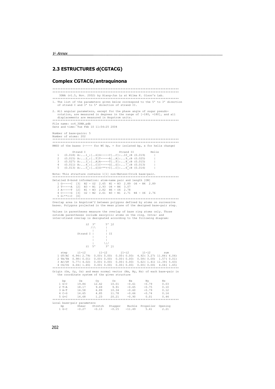### **2.3 ESTRUCTURES d(CGTACG)**

## **Complex CGTACG/antraquinona**

3DNA  $(v1, 5, Now 2002)$  by Xiang-Jun Lu at Wilma K Olson's Lab .<br>دمخون \*\*\*\*\*\*\*\*\*\*\*\*\*\*\*\*\*\*\*\*\*\* 1. The list of the parameters given below correspond to the 5' to 3' direction of strand I and 3' to 5' direction of strand II. 2. All angular parameters, except for the phase angle of sugar pseudo-rotation, are measured in degrees in the range of  $[-180, +180]$ , and all File name: cc4\_3DNA.pdb<br>Date and time: Tue Feb 10 11:54:25 2004 Number of base-pairs: 5 RMSD of the bases  $(-----$  for  $WC$  bp.  $+$  for isolated bp. x for belix change) Strand I Strand II Helix strand 11<br>
(0.018) A:...1 \_: [...G]G-----C[...C]:..10 \_:B (0.019)<br>
(0.015) A:...2 \_: [...T]T-----A[..A]:...9 \_:B (0.025)<br>
(0.027) A:...3 \_: [...A]A-----T[..T]:...8 \_:B (0.015)<br>
(0.011) A:...4 \_: [...C]C-----G[..G]:...7 \_:B  $\overline{1}$  $\overline{c}$  $\overline{z}$  $(0.013)$  A:...5 : [...G]G-\*\*+-C[...C]:....6 : B (0.014)  $\overline{p}$  $4 C---G [3] 02 - N2 2.61 N3 - N1 2.71 N4 - 06 2.76$ <br>5 G<sup>-\*\*</sup>+-C [0] Overlap area in Angstrom^2 between polygons defined by atoms on successive bases. Polygons projected in the mean plane of the designed base-pair step. Values in parentheses measure the overlap of base ring atoms only. Those values in purchases include exocyclic atoms on the ring. Intra- and<br>inter-strand overlap is designated according to the following diagram:  $i2 \quad 3'$  $5'$  j2  $71$ Strand  $I$  |  $\frac{1}{1}$  II  $\frac{1}{3!}$  +1  $i1 - 5$ '  $4 \text{ CG/CG}$  $0.00(0.00)$  $4.04(1.65)$ Origin (Ox, Oy, Oz) and mean normal vector (Nx, Ny, Nz) of each base-pair in the coordinate system of the given structure  $Ny$ <br>-0.79 bp  $Ox$  $_{\rm OV}$  $Oz$  $N \times$  $Nz$  $1 \overline{G-C}$ 19.84  $12.42$  $10.01$  $-0.61$  $0.03$  $-0.75$ <br> $-0.79$  $2T - A$  $9.69$ <br> $6.89$  $9.91$ <br> $10.34$  $-0.65$ <br> $-0.60$ 18.17  $0.10$  $3 A-T$ <br> $4 C-G$  $16.58$  $0.12$  $11.78$ <br>20.21 14.65 4.85  $-0.66$  $-0.74$  $0.14$  $5 G+C$   $14.68$   $1.23$ <br>\*\*\*\*\*\*\*\*\*\*\*\*\*\*\*\*\*\*\*\*\*\*\*\*\*\*\*\*\*\*\*  $-0.90$  $0.01$  $0.44$ . . . . . . . . . . . Local base-pair parameters  $\begin{array}{c} \texttt{1111} \\ \texttt{Stretch} \end{array}$ Buckle Propeller Opening bp<br> $1 \text{ G-C}$ Shear Stagger  $-0.27$  $-0.13$  $-0.15$  $-11.49$  $5.41$  $2.21$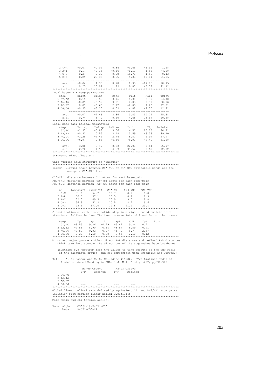| $\begin{array}{cccccccc} 2\text{ T-A} & -0.07 & -0.04 & 0.34 & -0.66 & -1.11 & 1.58 \\ 3\text{ A-T} & 0.17 & -0.15 & -0.16 & -1.11 & 1.82 & -4.48 \\ 4\text{ C-G} & 0.27 & -0.30 & -0.08 & 15.71 & -1.56 & -0.13 \\ 5\text{ G+C} & -0.29 & 22.36 & 3.95 & 4.33 & -89.81 & 91.56 \\ \end{array}$                                            |                                                                                                       |               |                                                                             |  |                                                                         |  |
|--------------------------------------------------------------------------------------------------------------------------------------------------------------------------------------------------------------------------------------------------------------------------------------------------------------------------------------------|-------------------------------------------------------------------------------------------------------|---------------|-----------------------------------------------------------------------------|--|-------------------------------------------------------------------------|--|
|                                                                                                                                                                                                                                                                                                                                            |                                                                                                       |               |                                                                             |  |                                                                         |  |
|                                                                                                                                                                                                                                                                                                                                            |                                                                                                       |               |                                                                             |  |                                                                         |  |
|                                                                                                                                                                                                                                                                                                                                            |                                                                                                       |               |                                                                             |  |                                                                         |  |
|                                                                                                                                                                                                                                                                                                                                            |                                                                                                       |               |                                                                             |  |                                                                         |  |
|                                                                                                                                                                                                                                                                                                                                            |                                                                                                       |               |                                                                             |  |                                                                         |  |
|                                                                                                                                                                                                                                                                                                                                            | ave. -0.04   4.35   0.78   1.35   -17.05   18.15<br>s.d.   0.25   10.07   1.79   9.87   40.77   41.12 |               |                                                                             |  |                                                                         |  |
|                                                                                                                                                                                                                                                                                                                                            |                                                                                                       |               |                                                                             |  |                                                                         |  |
|                                                                                                                                                                                                                                                                                                                                            |                                                                                                       |               |                                                                             |  |                                                                         |  |
| Local base-pair step parameters                                                                                                                                                                                                                                                                                                            |                                                                                                       |               |                                                                             |  |                                                                         |  |
|                                                                                                                                                                                                                                                                                                                                            |                                                                                                       |               |                                                                             |  |                                                                         |  |
|                                                                                                                                                                                                                                                                                                                                            |                                                                                                       |               |                                                                             |  |                                                                         |  |
| star Mass paint Schick and State 1 and State 1 and State 1 and State 1 and State 1 and State 1 and State 1 and State 1 and State 1 and State 1 and State 1 and State 1 and State 1 and State 1 and State 1 and State 1 and Sta                                                                                                             |                                                                                                       |               |                                                                             |  |                                                                         |  |
|                                                                                                                                                                                                                                                                                                                                            |                                                                                                       |               |                                                                             |  |                                                                         |  |
|                                                                                                                                                                                                                                                                                                                                            |                                                                                                       |               |                                                                             |  |                                                                         |  |
|                                                                                                                                                                                                                                                                                                                                            |                                                                                                       |               |                                                                             |  |                                                                         |  |
|                                                                                                                                                                                                                                                                                                                                            | ave. -0.07 -2.46 3.36 0.43 14.22 25.88<br>s.d. 0.74 3.79 0.50 4.68 23.57 10.68                        |               |                                                                             |  |                                                                         |  |
|                                                                                                                                                                                                                                                                                                                                            |                                                                                                       |               |                                                                             |  |                                                                         |  |
|                                                                                                                                                                                                                                                                                                                                            |                                                                                                       |               |                                                                             |  |                                                                         |  |
| Local base-pair helical parameters                                                                                                                                                                                                                                                                                                         |                                                                                                       |               |                                                                             |  |                                                                         |  |
| step X-disp Y-disp h-Rise Incl. Tip h-Twist<br>1 GT/AC -1.97 -0.88 3.06 6.51 10.06 24.92<br>2 TA/TA -0.88 3.06 6.51 10.06 24.92<br>2 TA/TA -0.88 3.55 3.18 0.59 -6.06 39.10<br>3 AC/GT -2.25 -2.41 2.74 8.81 5.97 27.77<br>4 CG/CG -6.97 0.86                                                                                              |                                                                                                       |               |                                                                             |  |                                                                         |  |
|                                                                                                                                                                                                                                                                                                                                            |                                                                                                       |               |                                                                             |  |                                                                         |  |
|                                                                                                                                                                                                                                                                                                                                            |                                                                                                       |               |                                                                             |  |                                                                         |  |
|                                                                                                                                                                                                                                                                                                                                            |                                                                                                       |               |                                                                             |  |                                                                         |  |
|                                                                                                                                                                                                                                                                                                                                            |                                                                                                       |               |                                                                             |  |                                                                         |  |
|                                                                                                                                                                                                                                                                                                                                            |                                                                                                       |               |                                                                             |  |                                                                         |  |
|                                                                                                                                                                                                                                                                                                                                            | ave. -3.00 -0.47 0.53 22.98 0.64 35.77<br>s.d. 2.72 1.50 4.93 35.52 8.69 12.02                        |               |                                                                             |  |                                                                         |  |
|                                                                                                                                                                                                                                                                                                                                            |                                                                                                       |               |                                                                             |  |                                                                         |  |
| Structure classification:                                                                                                                                                                                                                                                                                                                  |                                                                                                       |               |                                                                             |  |                                                                         |  |
|                                                                                                                                                                                                                                                                                                                                            |                                                                                                       |               |                                                                             |  |                                                                         |  |
| This nucleic acid structure is *unusual*                                                                                                                                                                                                                                                                                                   |                                                                                                       |               |                                                                             |  |                                                                         |  |
|                                                                                                                                                                                                                                                                                                                                            |                                                                                                       |               |                                                                             |  |                                                                         |  |
|                                                                                                                                                                                                                                                                                                                                            |                                                                                                       |               |                                                                             |  |                                                                         |  |
| lambda: virtual angle between C1'-YN1 or C1'-RN9 glycosidic bonds and the                                                                                                                                                                                                                                                                  |                                                                                                       |               |                                                                             |  |                                                                         |  |
|                                                                                                                                                                                                                                                                                                                                            | base-pair C1'-C1' line                                                                                |               |                                                                             |  |                                                                         |  |
|                                                                                                                                                                                                                                                                                                                                            |                                                                                                       |               |                                                                             |  |                                                                         |  |
| C1'-C1': distance between C1' atoms for each base-pair                                                                                                                                                                                                                                                                                     |                                                                                                       |               |                                                                             |  |                                                                         |  |
| RN9-YN1: distance between RN9-YN1 atoms for each base-pair<br>RC8-YC6: distance between RC8-YC6 atoms for each base-pair                                                                                                                                                                                                                   |                                                                                                       |               |                                                                             |  |                                                                         |  |
|                                                                                                                                                                                                                                                                                                                                            |                                                                                                       |               |                                                                             |  |                                                                         |  |
|                                                                                                                                                                                                                                                                                                                                            |                                                                                                       |               |                                                                             |  |                                                                         |  |
|                                                                                                                                                                                                                                                                                                                                            |                                                                                                       |               |                                                                             |  |                                                                         |  |
|                                                                                                                                                                                                                                                                                                                                            |                                                                                                       |               |                                                                             |  |                                                                         |  |
|                                                                                                                                                                                                                                                                                                                                            |                                                                                                       |               |                                                                             |  |                                                                         |  |
|                                                                                                                                                                                                                                                                                                                                            |                                                                                                       |               |                                                                             |  |                                                                         |  |
|                                                                                                                                                                                                                                                                                                                                            |                                                                                                       |               |                                                                             |  |                                                                         |  |
|                                                                                                                                                                                                                                                                                                                                            |                                                                                                       |               |                                                                             |  |                                                                         |  |
|                                                                                                                                                                                                                                                                                                                                            |                                                                                                       |               |                                                                             |  |                                                                         |  |
|                                                                                                                                                                                                                                                                                                                                            |                                                                                                       |               |                                                                             |  |                                                                         |  |
| Classification of each dinucleotide step in a right-handed nucleic acid                                                                                                                                                                                                                                                                    |                                                                                                       |               |                                                                             |  |                                                                         |  |
| structure: A-like; B-like; TA-like; intermediate of A and B, or other cases                                                                                                                                                                                                                                                                |                                                                                                       |               |                                                                             |  |                                                                         |  |
|                                                                                                                                                                                                                                                                                                                                            |                                                                                                       |               |                                                                             |  |                                                                         |  |
|                                                                                                                                                                                                                                                                                                                                            |                                                                                                       |               |                                                                             |  | Form                                                                    |  |
|                                                                                                                                                                                                                                                                                                                                            |                                                                                                       |               |                                                                             |  |                                                                         |  |
|                                                                                                                                                                                                                                                                                                                                            |                                                                                                       |               |                                                                             |  |                                                                         |  |
|                                                                                                                                                                                                                                                                                                                                            |                                                                                                       |               |                                                                             |  |                                                                         |  |
| $\begin{tabular}{lcccc} step & \quad xp & \quad xp & \quad Zp & \quad XpH & \quad YpH & \quad ZpH \\ 1\,\,GT/AC & -3.55 & 9.26 & -0.29 & -5.47 & 9.24 & 0.71 \\ 2\,\,TA/TA & -2.83 & 8.90 & 0.64 & -3.57 & 8.89 & 0.71 \\ 3\,\,AC/GT & -2.50 & 9.02 & 0.97 & -4.70 & 8.77 & 2.37 \\ 4\,\,CG/CG & -2.22 & 8.58 & 0.38 & -8.65 & 2.10 & 8.1$ |                                                                                                       |               |                                                                             |  |                                                                         |  |
|                                                                                                                                                                                                                                                                                                                                            |                                                                                                       |               |                                                                             |  |                                                                         |  |
| Minor and major groove widths: direct P-P distances and refined P-P distances                                                                                                                                                                                                                                                              |                                                                                                       |               |                                                                             |  |                                                                         |  |
|                                                                                                                                                                                                                                                                                                                                            |                                                                                                       |               |                                                                             |  | which take into account the directions of the sugar-phosphate backbones |  |
|                                                                                                                                                                                                                                                                                                                                            |                                                                                                       |               |                                                                             |  |                                                                         |  |
|                                                                                                                                                                                                                                                                                                                                            |                                                                                                       |               |                                                                             |  | (Subtract 5.8 Angstrom from the values to take account of the vdw radii |  |
|                                                                                                                                                                                                                                                                                                                                            |                                                                                                       |               |                                                                             |  | of the phosphate groups, and for comparison with FreeHelix and Curves.) |  |
|                                                                                                                                                                                                                                                                                                                                            |                                                                                                       |               |                                                                             |  |                                                                         |  |
| Ref: M. A. El Hassan and C. R. Calladine (1998). ``Two Distinct Modes of                                                                                                                                                                                                                                                                   |                                                                                                       |               |                                                                             |  |                                                                         |  |
|                                                                                                                                                                                                                                                                                                                                            |                                                                                                       |               |                                                                             |  | Protein-induced Bending in DNA.'' J. Mol. Biol., v282, pp331-343.       |  |
|                                                                                                                                                                                                                                                                                                                                            |                                                                                                       |               |                                                                             |  |                                                                         |  |
|                                                                                                                                                                                                                                                                                                                                            |                                                                                                       |               |                                                                             |  |                                                                         |  |
|                                                                                                                                                                                                                                                                                                                                            |                                                                                                       |               |                                                                             |  |                                                                         |  |
| 1 GT/AC                                                                                                                                                                                                                                                                                                                                    | $\sim$ $\sim$ $\sim$                                                                                  |               | Minor Groove Major Groove<br>P-P Refined P-P Refined<br>--- --- --- --- --- |  |                                                                         |  |
| 2 TA/TA                                                                                                                                                                                                                                                                                                                                    | $\sim$ $\sim$ $\sim$                                                                                  | $\alpha = -1$ | $\sim$ $   \sim$                                                            |  |                                                                         |  |
| 3 AC/GT                                                                                                                                                                                                                                                                                                                                    | $\sim$ $\sim$ $\sim$                                                                                  | $  -$         | $- - -$                                                                     |  |                                                                         |  |
| $4 \text{ CG/CG} \qquad ---$                                                                                                                                                                                                                                                                                                               |                                                                                                       | $\sim$ $ -$   | $- - -$                                                                     |  |                                                                         |  |
| Global linear helical axis defined by equivalent C1' and RN9/YN1 atom pairs                                                                                                                                                                                                                                                                |                                                                                                       |               |                                                                             |  |                                                                         |  |

Global linear helical axis defined by equivalent C1' and RN9/YN1 atom pairs Deviation from regular linear helix: 2.81(1.14) \*\*\*\*\*\*\*\*\*\*\*\*\*\*\*\*\*\*\*\*\*\*\*\*\*\*\*\*\*\*\*\*\*\*\*\*\*\*\*\*\*\*\*\*\*\*\*\*\*\*\*\*\*\*\*\*\*\*\*\*\*\*\*\*\*\*\*\*\*\*\*\*\*\*\*\* Main chain and chi torsion angles:

Note: alpha: O3'(i-1)-P-O5'-C5' beta: P-O5'-C5'-C4'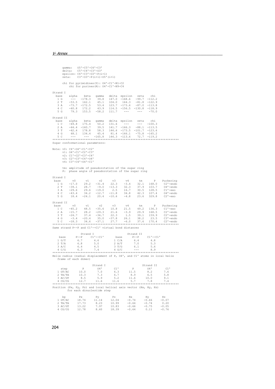```
 gamma: O5'-C5'-C4'-C3' 
 delta: C5'-C4'-C3'-O3' 
 epsilon: C4'-C3'-O3'-P(i+1) 
 zeta: C3'-O3'-P(i+1)-O5'(i+1) 
 chi for pyrimidines(Y): O4'-C1'-N1-C2 
 chi for purines(R): O4'-C1'-N9-C4 
Strand I<br>base<br>1 G
                  alpha beta gamma delta epsilon zeta chi<br>--- -178.3 39.8 147.0 -168.6 -99.7 -112.2
      1 G --- -178.3 39.8 147.0 -168.6 -99.7 -112.2 
 2 T -53.5 162.1 45.1 104.0 164.3 -81.8 -122.9 
 3 A -73.7 -172.5 53.4 123.7 -173.6 -87.0 -113.8 
 4 C -60.8 172.2 43.9 114.5 -156.5 -130.8 -118.9 
 5 G 79.3 153.5 -58.2 111.7 --- --- -70.0 
Strand II<br>base alpha
   base alpha beta gamma delta epsilon zeta chi<br>1 C -69.8 175.4 50.2 131.6 --- --- -100.3<br>2 A -64.4 -160.7 39.5 141.7 -166.3 -88.1 -113.5
 1 C -69.8 175.4 50.2 131.6 --- --- -100.3 
 2 A -64.4 -160.7 39.5 141.7 -166.3 -88.1 -113.5 
 3 T -62.4 178.8 58.3 146.6 -173.5 -101.7 -123.6 
 4 G 68.1 134.4 45.4 81.4 -166.1 -75.8 -165.2 
 5 C --- --- -165.8 146.3 -113.6 72.7 -119.2 
**************************************************************************** 
Sugar conformational parameters: 
Note: v0: C4'-O4'-C1'-C2'<br>
v1: O4'-C1'-C2'-C3'<br>
v2: C1'-C2'-C3'-C4'<br>
v3: C2'-C3'-C4'-O4'
           v4: C3'-C4'-O4'-C1' 
 tm: amplitude of pseudorotation of the sugar ring 
 P: phase angle of pseudorotation of the sugar ring 
Strand I<br>base
    2003<br>
ase v0 v1 v2 v3 v4 tm P Puckering<br>
1 G -17.0 29.2 -31.4 22.3 -3.4 32.1 168.0 C2'-endo<br>
2 T -39.1 28.7 -9.0 -13.3 32.3 37.9 103.7 04'-endo<br>
3 A -29.6 29.6 -19.0 2.5 16.7 30.5 128.5 C1'-exo<br>
4 C -43.4 34.2 -12.7 -11.8 
 1 G -17.0 29.2 -31.4 22.3 -3.4 32.1 168.0 C2'-endo 
 2 T -39.1 28.7 -9.0 -13.3 32.3 37.9 103.7 O4'-endo 
 3 A -29.6 29.6 -19.0 2.5 16.7 30.5 128.5 C1'-exo 
 4 C -43.4 34.2 -12.7 -11.8 34.8 42.3 107.4 O4'-endo 
 5 G 18.4 -24.1 20.4 -10.6 -4.8 23.6 329.8 C2'-exo 
Strand II<br>base<br>1 C
                 v0 v1 v2 v3 v4 tm P Puckering<br>
-45.2 48.5 -35.6 10.8 21.5 49.2 136.3 C1'-exo<br>
-15.7 28.2 -29.3 21.6 -3.9 29.9 168.5 C2'-endo<br>
-24.7 37.4 -36.7 22.3 1.5 39.1 159.9 C2'-endo
    1 C -45.2 48.5 -35.6 10.8 21.5 49.2 136.3 C11-exo<br>
2 A -15.7 28.2 -29.3 21.6 -3.9 29.9 168.5 C21-exo<br>
3 T -24.7 37.4 -36.7 22.3 1.5 39.1 159.9 C21-endo<br>
4 G -3.4 -20.4 35.0 -37.8 26.1 38.2 23.5 C31-endo
 2 A -15.7 28.2 -29.3 21.6 -3.9 29.9 168.5 C2'-endo 
\begin{array}{cccccc} 3\text{ T} & -24.7 & 37.4 & -36.7 & 22.3 & 1.5 & 39.1 & 159.9 & \text{C2'}-endo \\ 4\text{ G} & -3.4 & -20.4 & 35.0 & -37.8 & 26.1 & 38.2 & 23.5 & \text{C3'}-endo \\ 5\text{ C} & -18.3 & 34.6 & -37.1 & 27.7 & -6.0 & 37.6 & 170.4 & \text{C2'}-endo \\ \end{array}Same strand P--P and C1'--C1' virtual bond distances 
 Strand I Strand II 
 base P--P C1'--C1' base P--P C1'--C1' 
 1 G/T 6.7 4.6 1 C/A 6.4 4.8 
 2 T/A 6.8 5.0 2 A/T 7.0 5.3 
 3 A/C 6.4 4.5 3 T/G 6.1 5.6 
 4 C/G 6.3 7.4 4 G/C --- 8.9 
**************************************************************************** 
Helix radius (radial displacement of P, O4', and C1' atoms in local helix 
      frame of each dimer) 
 Strand I Strand II 
 step P O4' C1' P O4' C1' 
 1 GT/AC 10.0 7.0 6.3 11.5 8.2 7.6 
 2 TA/TA 10.3 7.3 6.7 8.9 6.5 5.8 
 3 AC/GT 8.5 5.9 5.2 11.6 10.0 9.1 
 4 CG/CG 12.7 11.6 11.6 5.7 7.8 7.4 
**************************************************************************** 
Position (Px, Py, Pz) and local helical axis vector (Hx, Hy, Hz) 
 for each dinucleotide step 
 bp Px Py Pz Hx Hy Hz 
 1 GT/AC 18.74 11.14 12.04 -0.74 -0.66 -0.07 
 2 TA/TA 17.73 8.23 10.99 -0.64 -0.74 0.20 
 3 AC/GT 13.22 7.97 10.83 -0.66 -0.75 -0.05
```
4 CG/CG 12.78 8.60 18.39 -0.64 0.11 -0.76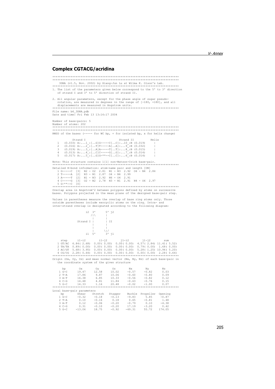#### **Complex CGTACG/acridina**

 $5C - C$ 

1. The list of the parameters given below correspond to the 5' to 3' direction<br>of strand I and 3' to 5' direction of strand II. 2. All angular parameters, except for the phase angle of sugar pseudorelation, are measured in degrees in the range of [-180, +180], and all displacements are measured in Angstrom units. File name: b6\_3DNA.pdb Date and time: Fri Feb 13 13:16:17 2004 Number of base-pairs: 5  $\begin{smallmatrix} \texttt{NUMBER} & \texttt{U} & \texttt{Index} & \texttt{U} & \texttt{D} & \texttt{M} & \texttt{M} & \texttt{M} & \texttt{M} & \texttt{M} & \texttt{M} & \texttt{M} & \texttt{M} & \texttt{M} & \texttt{M} & \texttt{M} & \texttt{M} & \texttt{M} & \texttt{M} & \texttt{M} & \texttt{M} & \texttt{M} & \texttt{M} & \texttt{M} & \texttt{M} & \texttt{M} & \texttt{M} & \texttt{M} & \texttt{M} & \texttt{M} & \texttt{$ RMSD of the bases (----- for WC bp, + for isolated bp, x for helix change) Strand T Strand II .<br>Helix Strand 1<br>
(0.033) A:...1\_:[..G]G-----C[..C]:..10\_:B (0.019)<br>
(0.016) A:...2\_:[..T]T-----A[..A]:...9\_:B (0.032)<br>
(0.019) A:...3\_:[..A]A-----T[..T]:...8\_:B (0.015)  $\sim$  $\frac{1}{3}$ (0.013) A:... $4$ -: [...c]: ------G[...c]: ....7-: B (0.014)<br>(0.013) A:....4 -: [...c]: ------G[...c]: ....7-: B (0.014)  $\overline{4}$ Detailed H-bond information: atom-name pair and length [ON]<br>1 G-----C [3] N2 - O2 2.81 N1 - N3 2.92 O6 - N4 2.84<br>2 T-----A [2] N3 - N1 2.87 O4 - N6 2.92<br>3 A-----T [2] N1 - N3 2.92 N6 - O4 2.91<br>4 C-----G [3] O2 - N2 2.78 N3 According to the anti-contract and the polygons defined by atoms on successive<br>bases. Polygons projected in the mean plane of the designed base-pair step. Values in parentheses measure the overlap of base ring atoms only. Those outside parentheses include exocyclic atoms on the ring. Intra- and inter-strand overlap is designated according to the following diagram:  $32 - 31$  $5'$   $j2$  $7N$ strand T I  $\frac{1}{2}$  IT  $\frac{1}{3!}$ / $\frac{1}{11}$  $\frac{1}{11}$  5' Origin (Ox, Oy, Oz) and mean normal vector (Nx, Ny, Nz) of each base-pair in the coordinate system of the given structure  $\mathsf{O}\mathbf{x}$  $0y$ <br>12.58<br>9.87<br>6.85  $OZ$ bp  $N \times$ Ny  $Nz$ Ny<br>  $-0.82$ <br>  $-0.80$ <br>  $-0.82$ <br>  $-0.76$ <br>  $-1.00$  $19.47$ <br> $17.86$ <br> $16.38$ 1 G-C<br>2 T-A<br>3 A-T  $\begin{array}{c} 0.02 \\ 10.02 \\ 10.06 \\ 10.33 \end{array}$  $-0.57$ <br> $-0.60$  $0.03$  $0.09$  $-0.56$ <br> $-0.63$  $0.12$  $10.33$ <br> $11.84$ <br> $20.48$  $4C - G$  $14.48$  $481$  $0.15$  $-0.02$  $1.16$  $14.33$   $1.16$ <br>\*\*\*\*\*\*\*\*\*\*\*\*\*\*\*\*\*\*  $0.07$ \*\*\*\*\*\*  $*****$ Local base-pair parameters Stagger<br> $-0.13$ <br> $0.18$ <br> $-0.20$ <br> $-0.20$ bp<br>  $1 G-C$ <br>  $2 T-A$ Shear Stretch Buckle<sup>1</sup> Propeller Opening  $-9.83$ <br> $0.65$ <br> $-0.79$ <br> $17.19$  $-0.32$  $5.85$  $-0.87$ <br> $1.48$  $-0.18\,$ 8.5.5<br>0.81- $0.10$  $-0.16$  $3 A-T$ <br> $4 C-G$  $-0.06$ <br> $-0.10$  $0.12$  $0.10$  $-4.38$  $-3.20$  $0.31$  $0.42$  $-13.06$ 18.75

 $-0.92$ 

 $-49.31$ 

55.72

174.05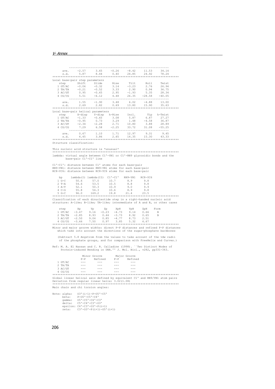|                                                                                                                                                                                                                                                                                                                                           | ave. -2.57 3.65 -0.26 -8.42 11.53 34.14<br>s.d. 5.87 8.44 0.40 24.85 24.92 78.24                                                                                                                                                                                                                                                                                                             |                                                                                                      |                                                      |      |                                                                         |  |
|-------------------------------------------------------------------------------------------------------------------------------------------------------------------------------------------------------------------------------------------------------------------------------------------------------------------------------------------|----------------------------------------------------------------------------------------------------------------------------------------------------------------------------------------------------------------------------------------------------------------------------------------------------------------------------------------------------------------------------------------------|------------------------------------------------------------------------------------------------------|------------------------------------------------------|------|-------------------------------------------------------------------------|--|
|                                                                                                                                                                                                                                                                                                                                           |                                                                                                                                                                                                                                                                                                                                                                                              |                                                                                                      |                                                      |      |                                                                         |  |
|                                                                                                                                                                                                                                                                                                                                           |                                                                                                                                                                                                                                                                                                                                                                                              |                                                                                                      |                                                      |      |                                                                         |  |
| Local base-pair step parameters<br>step Shift Slide Rise Tilt Roll Twist<br>1 GT/AC -0.06 -0.52 3.14 -3.23 2.76 26.94<br>2 TA/TA -0.21 -0.52 3.33 2.90 0.94 36.75<br>3 AC/GT 0.95 -0.65 2.95 -1.93 5.35 28.34<br>4 CG/CG 5.51 -6.12 4.48                                                                                                  |                                                                                                                                                                                                                                                                                                                                                                                              |                                                                                                      |                                                      |      |                                                                         |  |
|                                                                                                                                                                                                                                                                                                                                           |                                                                                                                                                                                                                                                                                                                                                                                              |                                                                                                      |                                                      |      |                                                                         |  |
|                                                                                                                                                                                                                                                                                                                                           |                                                                                                                                                                                                                                                                                                                                                                                              |                                                                                                      |                                                      |      |                                                                         |  |
|                                                                                                                                                                                                                                                                                                                                           |                                                                                                                                                                                                                                                                                                                                                                                              |                                                                                                      |                                                      |      |                                                                         |  |
|                                                                                                                                                                                                                                                                                                                                           |                                                                                                                                                                                                                                                                                                                                                                                              |                                                                                                      |                                                      |      |                                                                         |  |
|                                                                                                                                                                                                                                                                                                                                           | ave. 1.55 -1.90 3.48 6.02 -4.88 13.00<br>s.d. 2.69 2.82 0.69 13.80 15.90 35.63                                                                                                                                                                                                                                                                                                               |                                                                                                      |                                                      |      |                                                                         |  |
|                                                                                                                                                                                                                                                                                                                                           |                                                                                                                                                                                                                                                                                                                                                                                              |                                                                                                      |                                                      |      |                                                                         |  |
| Local base-pair helical parameters                                                                                                                                                                                                                                                                                                        |                                                                                                                                                                                                                                                                                                                                                                                              |                                                                                                      |                                                      |      |                                                                         |  |
| step $X$ -disp $Y$ -disp h-Rise Incl. Tip h-Twist<br>1 GT/AC -1.33 -0.65 3.08 5.87 6.87 27.27<br>2 TA/TA -0.95 0.73 3.29 1.48 -4.58 36.87<br>3 AC/GT -2.34 -2.28 2.71 10.80 3.88 28.89<br>4 CG/CG 7.29 6.58 -2.25 33.72 31.08 -55.25                                                                                                      |                                                                                                                                                                                                                                                                                                                                                                                              |                                                                                                      |                                                      |      |                                                                         |  |
|                                                                                                                                                                                                                                                                                                                                           |                                                                                                                                                                                                                                                                                                                                                                                              |                                                                                                      |                                                      |      |                                                                         |  |
|                                                                                                                                                                                                                                                                                                                                           |                                                                                                                                                                                                                                                                                                                                                                                              |                                                                                                      |                                                      |      |                                                                         |  |
|                                                                                                                                                                                                                                                                                                                                           |                                                                                                                                                                                                                                                                                                                                                                                              |                                                                                                      |                                                      |      |                                                                         |  |
|                                                                                                                                                                                                                                                                                                                                           |                                                                                                                                                                                                                                                                                                                                                                                              |                                                                                                      |                                                      |      |                                                                         |  |
|                                                                                                                                                                                                                                                                                                                                           | ave. 0.67 1.10 1.71 12.97 9.31 9.45<br>s.d. 4.45 3.86 2.65 14.35 15.30 43.33                                                                                                                                                                                                                                                                                                                 |                                                                                                      |                                                      |      |                                                                         |  |
|                                                                                                                                                                                                                                                                                                                                           |                                                                                                                                                                                                                                                                                                                                                                                              |                                                                                                      |                                                      |      |                                                                         |  |
|                                                                                                                                                                                                                                                                                                                                           |                                                                                                                                                                                                                                                                                                                                                                                              |                                                                                                      |                                                      |      |                                                                         |  |
| Structure classification:                                                                                                                                                                                                                                                                                                                 |                                                                                                                                                                                                                                                                                                                                                                                              |                                                                                                      |                                                      |      |                                                                         |  |
| This nucleic acid structure is *unusual*                                                                                                                                                                                                                                                                                                  |                                                                                                                                                                                                                                                                                                                                                                                              |                                                                                                      |                                                      |      |                                                                         |  |
|                                                                                                                                                                                                                                                                                                                                           |                                                                                                                                                                                                                                                                                                                                                                                              |                                                                                                      |                                                      |      |                                                                         |  |
| lambda: virtual angle between C1'-YN1 or C1'-RN9 glycosidic bonds and the                                                                                                                                                                                                                                                                 |                                                                                                                                                                                                                                                                                                                                                                                              |                                                                                                      |                                                      |      |                                                                         |  |
|                                                                                                                                                                                                                                                                                                                                           | base-pair C1'-C1' line                                                                                                                                                                                                                                                                                                                                                                       |                                                                                                      |                                                      |      |                                                                         |  |
| C1'-C1': distance between C1' atoms for each base-pair                                                                                                                                                                                                                                                                                    |                                                                                                                                                                                                                                                                                                                                                                                              |                                                                                                      |                                                      |      |                                                                         |  |
| RN9-YN1: distance between RN9-YN1 atoms for each base-pair                                                                                                                                                                                                                                                                                |                                                                                                                                                                                                                                                                                                                                                                                              |                                                                                                      |                                                      |      |                                                                         |  |
| RC8-YC6: distance between RC8-YC6 atoms for each base-pair                                                                                                                                                                                                                                                                                |                                                                                                                                                                                                                                                                                                                                                                                              |                                                                                                      |                                                      |      |                                                                         |  |
|                                                                                                                                                                                                                                                                                                                                           |                                                                                                                                                                                                                                                                                                                                                                                              |                                                                                                      |                                                      |      |                                                                         |  |
| bp                                                                                                                                                                                                                                                                                                                                        | lambda(I) lambda(II) C1'-C1' RN9-YN1 RC8-YC6                                                                                                                                                                                                                                                                                                                                                 |                                                                                                      |                                                      |      |                                                                         |  |
|                                                                                                                                                                                                                                                                                                                                           |                                                                                                                                                                                                                                                                                                                                                                                              |                                                                                                      |                                                      |      |                                                                         |  |
|                                                                                                                                                                                                                                                                                                                                           |                                                                                                                                                                                                                                                                                                                                                                                              |                                                                                                      |                                                      |      |                                                                         |  |
| 1 G-C 50.6 57.0 10.7 8.9 9.8<br>2 T-A 54.6 53.5 10.5 8.8 9.8<br>3 A-T 52.1 50.3 10.9 9.0 9.9<br>4 C-G 55.8 54.3 10.6 8.9 9.8<br>5 G-C 96.0 169.2 19.8 21.4 23.5                                                                                                                                                                           |                                                                                                                                                                                                                                                                                                                                                                                              |                                                                                                      |                                                      |      |                                                                         |  |
|                                                                                                                                                                                                                                                                                                                                           |                                                                                                                                                                                                                                                                                                                                                                                              |                                                                                                      |                                                      |      |                                                                         |  |
| Classification of each dinucleotide step in a right-handed nucleic acid                                                                                                                                                                                                                                                                   |                                                                                                                                                                                                                                                                                                                                                                                              |                                                                                                      |                                                      |      |                                                                         |  |
| structure: A-like; B-like; TA-like; intermediate of A and B, or other cases                                                                                                                                                                                                                                                               |                                                                                                                                                                                                                                                                                                                                                                                              |                                                                                                      |                                                      |      |                                                                         |  |
|                                                                                                                                                                                                                                                                                                                                           |                                                                                                                                                                                                                                                                                                                                                                                              |                                                                                                      |                                                      |      |                                                                         |  |
| $\begin{tabular}{lcccccc} step & \quad Yp & \quad Zp & \quad XpH & \quad YpH & \quad ZpH \\ 1~\text{GT/AC} & -3.47 & 9.16 & -0.23 & -4.73 & 9.14 & 0.66 \\ 2~\text{TA/TA} & -2.85 & 8.93 & 0.44 & -3.73 & 8.92 & 0.65 \\ 3~\text{AC/GT} & -2.50 & 9.04 & 0.85 & -4.77 & 8.73 & 2.51 \\ 4~\text{CG/CG} & -3.66 & 7.50 & 0.97 & 3.85 & 5.3$ |                                                                                                                                                                                                                                                                                                                                                                                              |                                                                                                      |                                                      |      | Form<br>$\blacksquare$<br>B                                             |  |
|                                                                                                                                                                                                                                                                                                                                           |                                                                                                                                                                                                                                                                                                                                                                                              |                                                                                                      |                                                      |      | B                                                                       |  |
|                                                                                                                                                                                                                                                                                                                                           |                                                                                                                                                                                                                                                                                                                                                                                              |                                                                                                      |                                                      |      |                                                                         |  |
|                                                                                                                                                                                                                                                                                                                                           |                                                                                                                                                                                                                                                                                                                                                                                              |                                                                                                      |                                                      |      |                                                                         |  |
|                                                                                                                                                                                                                                                                                                                                           |                                                                                                                                                                                                                                                                                                                                                                                              |                                                                                                      |                                                      |      |                                                                         |  |
| Minor and major groove widths: direct P-P distances and refined P-P distances                                                                                                                                                                                                                                                             |                                                                                                                                                                                                                                                                                                                                                                                              |                                                                                                      |                                                      |      | which take into account the directions of the sugar-phosphate backbones |  |
|                                                                                                                                                                                                                                                                                                                                           |                                                                                                                                                                                                                                                                                                                                                                                              |                                                                                                      |                                                      |      |                                                                         |  |
|                                                                                                                                                                                                                                                                                                                                           |                                                                                                                                                                                                                                                                                                                                                                                              |                                                                                                      |                                                      |      | (Subtract 5.8 Angstrom from the values to take account of the vdw radii |  |
|                                                                                                                                                                                                                                                                                                                                           |                                                                                                                                                                                                                                                                                                                                                                                              |                                                                                                      |                                                      |      | of the phosphate groups, and for comparison with FreeHelix and Curves.) |  |
| Ref: M. A. El Hassan and C. R. Calladine (1998). ``Two Distinct Modes of                                                                                                                                                                                                                                                                  |                                                                                                                                                                                                                                                                                                                                                                                              |                                                                                                      |                                                      |      |                                                                         |  |
|                                                                                                                                                                                                                                                                                                                                           | Protein-induced Bending in DNA.'' J. Mol. Biol., v282, pp331-343.                                                                                                                                                                                                                                                                                                                            |                                                                                                      |                                                      |      |                                                                         |  |
|                                                                                                                                                                                                                                                                                                                                           |                                                                                                                                                                                                                                                                                                                                                                                              |                                                                                                      |                                                      |      |                                                                         |  |
|                                                                                                                                                                                                                                                                                                                                           |                                                                                                                                                                                                                                                                                                                                                                                              |                                                                                                      | Minor Groove Major Groove<br>P-P Refined P-P Refined |      |                                                                         |  |
|                                                                                                                                                                                                                                                                                                                                           | $\frac{1}{2} \frac{1}{2} \frac{1}{2} \frac{1}{2} \frac{1}{2} \frac{1}{2} \frac{1}{2} \frac{1}{2} \frac{1}{2} \frac{1}{2} \frac{1}{2} \frac{1}{2} \frac{1}{2} \frac{1}{2} \frac{1}{2} \frac{1}{2} \frac{1}{2} \frac{1}{2} \frac{1}{2} \frac{1}{2} \frac{1}{2} \frac{1}{2} \frac{1}{2} \frac{1}{2} \frac{1}{2} \frac{1}{2} \frac{1}{2} \frac{1}{2} \frac{1}{2} \frac{1}{2} \frac{1}{2} \frac{$ |                                                                                                      |                                                      |      |                                                                         |  |
| 1 GT/AC<br>2 TA/TA                                                                                                                                                                                                                                                                                                                        | $\frac{1}{2}$ and $\frac{1}{2}$                                                                                                                                                                                                                                                                                                                                                              | $\mathcal{L}^{\mathcal{L}}$ and $\mathcal{L}^{\mathcal{L}}$ and $\mathcal{L}^{\mathcal{L}}$<br>$  -$ | $\sim$ $\sim$ $\sim$<br>$\sim$ $\sim$ $\sim$ $\sim$  | ---- |                                                                         |  |
|                                                                                                                                                                                                                                                                                                                                           | $\frac{1}{2} \frac{1}{2} \frac{1}{2} \frac{1}{2} \frac{1}{2} \frac{1}{2} \frac{1}{2} \frac{1}{2} \frac{1}{2} \frac{1}{2} \frac{1}{2} \frac{1}{2} \frac{1}{2} \frac{1}{2} \frac{1}{2} \frac{1}{2} \frac{1}{2} \frac{1}{2} \frac{1}{2} \frac{1}{2} \frac{1}{2} \frac{1}{2} \frac{1}{2} \frac{1}{2} \frac{1}{2} \frac{1}{2} \frac{1}{2} \frac{1}{2} \frac{1}{2} \frac{1}{2} \frac{1}{2} \frac{$ | $  -$                                                                                                | $  -$                                                |      |                                                                         |  |
| 3 AC/GT<br>4 CG/CG                                                                                                                                                                                                                                                                                                                        |                                                                                                                                                                                                                                                                                                                                                                                              |                                                                                                      |                                                      |      |                                                                         |  |
|                                                                                                                                                                                                                                                                                                                                           |                                                                                                                                                                                                                                                                                                                                                                                              |                                                                                                      |                                                      |      |                                                                         |  |
| Global linear helical axis defined by equivalent C1' and RN9/YN1 atom pairs                                                                                                                                                                                                                                                               |                                                                                                                                                                                                                                                                                                                                                                                              |                                                                                                      |                                                      |      |                                                                         |  |
| Deviation from regular linear helix: 3.02(1.08)                                                                                                                                                                                                                                                                                           |                                                                                                                                                                                                                                                                                                                                                                                              |                                                                                                      |                                                      |      |                                                                         |  |
| Main chain and chi torsion angles:                                                                                                                                                                                                                                                                                                        |                                                                                                                                                                                                                                                                                                                                                                                              |                                                                                                      |                                                      |      |                                                                         |  |
|                                                                                                                                                                                                                                                                                                                                           |                                                                                                                                                                                                                                                                                                                                                                                              |                                                                                                      |                                                      |      |                                                                         |  |

Note: alpha: 03'(i-1)-P-05'-C5'<br>
beta: P-O5'-C5'-C4'<br>
gamma: 05'-C5'-C4'-C3'<br>
delta: C5'-C4'-C3'-O3'<br>
epsilon: C4'-C3'-O3'-P(i+1)<br>
zeta: C3'-O3'-P(i+1)-O5'(i+1)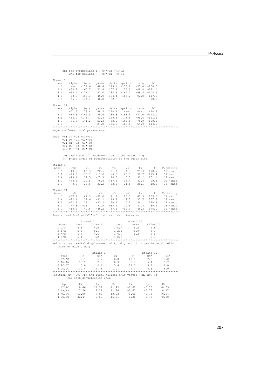|                                                                                                               | chi for pyrimidines (Y): 04'-C1'-N1-C2<br>chi for purines $(R)$ : $04'$ -C1'-N9-C4       |                                   |                                                                                        |                                        |                                                                                                                                                                                                                                                                                   |                                                                                                                                                                                                                                                                                                                                                                                                                                                              |                                                |                                                                                                                                                                                                                                                            |
|---------------------------------------------------------------------------------------------------------------|------------------------------------------------------------------------------------------|-----------------------------------|----------------------------------------------------------------------------------------|----------------------------------------|-----------------------------------------------------------------------------------------------------------------------------------------------------------------------------------------------------------------------------------------------------------------------------------|--------------------------------------------------------------------------------------------------------------------------------------------------------------------------------------------------------------------------------------------------------------------------------------------------------------------------------------------------------------------------------------------------------------------------------------------------------------|------------------------------------------------|------------------------------------------------------------------------------------------------------------------------------------------------------------------------------------------------------------------------------------------------------------|
| Strand I<br>base<br>1 G                                                                                       | alpha                                                                                    |                                   |                                                                                        |                                        | beta gamma delta epsilon zeta<br>16 ---- 174.6 48.4 143.1 -178.9 -95.4 -108.6<br>2 T -54.9 167.7 51.4 107.4 174.2 -89.8 -121.1<br>3 A -63.4 -171.3 43.0 134.6 -169.0 -98.5 -108.5<br>4 C -60.3 166.3 46.0 104.4 -165.2 -92.8 -117.8<br>5 G -65.2 -144.4 46.8 82.9 --- -           |                                                                                                                                                                                                                                                                                                                                                                                                                                                              | chi                                            |                                                                                                                                                                                                                                                            |
| Strand II                                                                                                     |                                                                                          |                                   |                                                                                        |                                        | rand 11<br>hase alpha beta gamma delta epsilon zeta chi<br>1 C -71.2 178.4 48.5 128.4 ---<br>2 A -63.6 -165.5 45.6 135.8 -168.5 -87.0 -113.1<br>3 T -66.9 -176.7 63.4 140.4 178.6 -95.6 -121.5<br>4 G 71.3 141.2 53.3 83.0 -169.8 -76.9                                           |                                                                                                                                                                                                                                                                                                                                                                                                                                                              |                                                |                                                                                                                                                                                                                                                            |
| Sugar conformational parameters:<br>Note: v0: C4'-04'-C1'-C2'                                                 | v1: 04'-C1'-C2'-C3'<br>v2: C1'-C2'-C3'-C4'<br>v3: C2'-C3'-C4'-04'<br>v4: C3'-C4'-04'-C1' |                                   |                                                                                        |                                        | tm: amplitude of pseudorotation of the sugar ring<br>P: phase angle of pseudorotation of the sugar ring                                                                                                                                                                           |                                                                                                                                                                                                                                                                                                                                                                                                                                                              |                                                |                                                                                                                                                                                                                                                            |
|                                                                                                               |                                                                                          |                                   |                                                                                        |                                        |                                                                                                                                                                                                                                                                                   |                                                                                                                                                                                                                                                                                                                                                                                                                                                              |                                                |                                                                                                                                                                                                                                                            |
| Strand I<br>base<br>1 G<br>2T<br>3A<br>4 C<br>5 G                                                             | V <sup>0</sup><br>$-13.9$<br>$-40.0$<br>$-23.4$<br>$-43.3$<br>$-0.3 -20.8$               | v1<br>$26.3 -28.6$                | v2                                                                                     | v3                                     | V <sub>4</sub><br>$\begin{array}{cccccc} 26.3 & -28.6 & 21.1 & -4.7 & 28.9 & 170.7 \\ 35.7 & -17.0 & -5.8 & 28.7 & 39.7 & 115.4 \\ 31.5 & -27.3 & 14.3 & 5.7 & 31.2 & 151.1 \\ 29.5 & -6.8 & -17.6 & 38.4 & 42.4 & 99.3 \\ -20.8 & 33.2 & -33.8 & 21.5 & 35.1 & 18.8 \end{array}$ | tm                                                                                                                                                                                                                                                                                                                                                                                                                                                           | $\mathbb{P}$                                   | Puckering<br>C2'-endo<br>Cl'-exo<br>C2'-endo<br>04'-endo<br>C3'-endo                                                                                                                                                                                       |
|                                                                                                               |                                                                                          |                                   |                                                                                        |                                        |                                                                                                                                                                                                                                                                                   |                                                                                                                                                                                                                                                                                                                                                                                                                                                              |                                                |                                                                                                                                                                                                                                                            |
| Strand II<br>$\begin{bmatrix} 1 & v \end{bmatrix}$<br>$1\,c$<br>2 A<br>3T<br>4 G<br>$5\,C$                    |                                                                                          | v1                                | v2                                                                                     | v3                                     | V <sub>4</sub>                                                                                                                                                                                                                                                                    | tm                                                                                                                                                                                                                                                                                                                                                                                                                                                           | P                                              | Puckering<br>v0 v1 v2 v3 v4 tm P Puckering<br>-37.2 42.3 -32.0 11.9 15.7 41.9 139.8 C1'-exo<br>-22.4 32.6 -31.2 18.2 2.5 33.7 157.8 C1'-exo<br>-21.3 33.1 -32.2 20.4 0.5 34.1 160.8 C2'-endo<br>-7.8 -16.7 32.5 -38.4 29.6 37.8 30.5 C3'-endo<br>-18.3 40. |
| Same strand P--P and C1'--C1' virtual bond distances                                                          |                                                                                          |                                   |                                                                                        |                                        |                                                                                                                                                                                                                                                                                   |                                                                                                                                                                                                                                                                                                                                                                                                                                                              |                                                |                                                                                                                                                                                                                                                            |
| base<br>1 G/T<br>2 T/A<br>3 A/C<br>$4\,C/G$                                                                   |                                                                                          | Strand I<br>6.4                   | vertical values<br>$P-P$ c1'--c1' base<br>6.8 4.5 1 C/A<br>6.6 5.1 2 A/T<br>4.6<br>7.2 | 3 T/G<br>4 G/C                         |                                                                                                                                                                                                                                                                                   | Strand II<br>$\mathbf{P}=-\,\mathbf{P}$<br>6.5<br>6.9<br>6.3<br>$\frac{1}{2} \frac{1}{2} \frac{1}{2} \frac{1}{2} \frac{1}{2} \frac{1}{2} \frac{1}{2} \frac{1}{2} \frac{1}{2} \frac{1}{2} \frac{1}{2} \frac{1}{2} \frac{1}{2} \frac{1}{2} \frac{1}{2} \frac{1}{2} \frac{1}{2} \frac{1}{2} \frac{1}{2} \frac{1}{2} \frac{1}{2} \frac{1}{2} \frac{1}{2} \frac{1}{2} \frac{1}{2} \frac{1}{2} \frac{1}{2} \frac{1}{2} \frac{1}{2} \frac{1}{2} \frac{1}{2} \frac{$ | $C1 -- C1$<br>4.8<br>5.2<br>5.6<br>8.8         |                                                                                                                                                                                                                                                            |
| Helix radius (radial displacement of P, 04', and C1' atoms in local helix                                     | frame of each dimer)                                                                     |                                   |                                                                                        |                                        |                                                                                                                                                                                                                                                                                   |                                                                                                                                                                                                                                                                                                                                                                                                                                                              |                                                |                                                                                                                                                                                                                                                            |
| step<br>1 GT/AC<br>$2 T_A/T_A$<br>3 AC/GT<br>Position (Px, Py, Pz) and local helical axis vector (Hx, Hy, Hz) | for each dinucleotide step                                                               | P<br>9.7<br>10.5<br>8.6           | Strand I<br>04'<br>6.7<br>7.5<br>6.1                                                   | 6.9<br>5.4                             | $C1$ P<br>6.0 10.9<br>8.8<br>11.5<br>4 CG/CG 12.4 11.3 11.1 7.0 5.6 6.0                                                                                                                                                                                                           |                                                                                                                                                                                                                                                                                                                                                                                                                                                              | Strand II<br>$\circ$ 4'<br>7.6<br>6.4<br>9.9   | C1<br>7.0<br>5.7<br>9.0                                                                                                                                                                                                                                    |
| bp<br>$1$ GT/AC<br>2 TA/TA<br>3 AC/GT<br>4 CG/CG                                                              | Px<br>13.06                                                                              | $18.46$ $11.37$<br>17.56<br>22.47 | Рy<br>$8.24$<br>$7.92$<br>$-0.08$                                                      | PZ<br>11.45<br>11.24<br>10.93<br>15.01 | Hx<br>$-0.68$<br>$-0.61$<br>$-0.66$<br>$-0.36$                                                                                                                                                                                                                                    |                                                                                                                                                                                                                                                                                                                                                                                                                                                              | Hy<br>$-0.73$<br>$-0.77$<br>$-0.75$<br>$-0.73$ | Hz<br>$-0.03$<br>0.17<br>$-0.04$<br>$-0.58$                                                                                                                                                                                                                |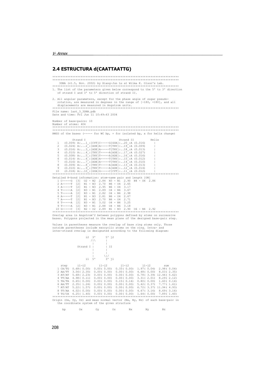# 2.4 ESTRUCTURA d(CAATTAATTG)

|  |  | bp 0x 0y 0z Nx Ny Nz |  |
|--|--|----------------------|--|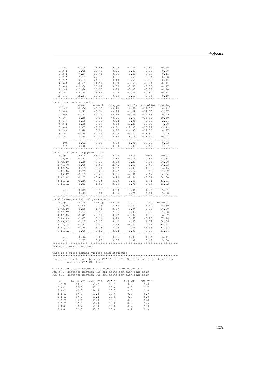| $1 C-G$                            | $-1.16$          | 36.68         | 9.04          | $-0.46$                             | $-0.85$                                | $-0.26$ |
|------------------------------------|------------------|---------------|---------------|-------------------------------------|----------------------------------------|---------|
| $2 A-T$                            | $-3.05$          | 33.43         | 8.06          | $-0.43$                             | $-0.90$                                | $-0.08$ |
| $3 A-T$                            | $-4.24$          | 30.41         | 8.21          | $-0.46$                             | $-0.88$                                | $-0.11$ |
| $4$ T-A                            | $-5.17$          | 27.73         | 8.36          | $-0.53$                             | $-0.84$                                | $-0.08$ |
| $5T - A$                           | $-6.67$          | 24.79         | 8.40          | $-0.51$                             | $-0.85$                                | $-0.14$ |
| 6 A-T                              | $-8.65$          | 21.51         | 8.68          | $-0.53$                             | $-0.84$                                | $-0.11$ |
| $7 A-T$                            | $-10.60$         | 18.97         | 8.60          | $-0.51$                             | $-0.85$                                | $-0.17$ |
|                                    |                  |               |               |                                     |                                        |         |
| $8T-A$                             | $-12.84$         | 16.35         | 8.28          | $-0.48$                             | $-0.87$                                | $-0.10$ |
| $9T - A$                           | $-14.78$         | 13.87         | 8.14          | $-0.46$                             | $-0.87$                                | $-0.14$ |
| $10 G-C$                           | $-15.34$         | 10.37         | 9.39          | $-0.50$                             | $-0.85$                                | $-0.18$ |
|                                    |                  |               |               |                                     |                                        |         |
| Local base-pair parameters         |                  |               |               |                                     |                                        |         |
| bp                                 |                  |               |               |                                     | Shear Stretch Stagger Buckle Propeller | Opening |
| $1 C-G$                            | $-0.66$          | $-0.10$       | $-0.40$       |                                     | $14.69 -17.70$                         | 0.12    |
| $2 A-T$                            | 0.33             | $-0.31$       | $-0.55$       | $-4.48$                             | $-18.79$                               | $-1.77$ |
| $3 A-T$                            | $-0.93$          | $-0.25$       | $-0.29$       | $-5.24$                             | $-22.66$                               | 0.99    |
| $4$ T-A                            | 0.20             | 0.05          | $-0.01$       | 9.73                                | $-22.92$                               | 10.20   |
| $5T - A$                           | 0.18             | $-0.12$       | $-0.04$       | 8.36                                | $-9.20$                                | 2.94    |
| $6 A-T$                            | 0.38             | $-0.17$       | $-0.38$       | $-10.23$                            | $-18.87$                               | $-4.38$ |
| $7 A-T$                            | 0.05             | $-0.28$       | $-0.21$       | $-11.38$                            | $-16.19$                               | $-3.12$ |
|                                    |                  |               |               |                                     |                                        |         |
| $8$ T-A                            | 0.40             | 0.01          | 0.25          | $-14.33$                            | $-12.56$                               | 0.77    |
| $9 T - A$                          | $-0.24$          | $-0.05$       | 0.12          | $-5.87$                             | $-13.84$                               | 1.49    |
| $10 G-C$                           | 0.48             | $-0.09$       | 0.22          | 8.16                                | $-13.30$                               | $-0.93$ |
|                                    |                  |               |               |                                     |                                        |         |
| ave.                               | 0.02             | $-0.13$       | $-0.13$       | $-1.06$                             | $-16.60$                               | 0.63    |
| s.d.                               |                  | $0.48$ $0.12$ | 0.28          |                                     | 10.31 4.44                             | 4.02    |
|                                    |                  |               |               |                                     |                                        |         |
| Local base-pair step parameters    |                  |               |               |                                     |                                        |         |
|                                    | step Shift Slide |               | Rise          | Tilt                                | Roll                                   | Twist   |
| 1 CA/TG                            | $-0.37$          | 0.09          | 3.87          | $-1.16$                             | 10.81                                  | 43.33   |
| 2 AA/TT                            | 0.38             | $-0.38$       | 3.20          | $-2.28$                             | $-0.94$                                | 26.48   |
| 3 AT/AT                            | $-0.08$          | $-0.66$       | 2.76          | $-2.52$                             | 4.46                                   | 36.73   |
|                                    |                  |               |               |                                     |                                        |         |
| 4 TT/AA                            | $-0.19$          | $-0.44$       | 3.27          | $-2.95$                             | $-1.88$                                | 36.16   |
| 5 TA/TA                            | $-0.39$          | $-0.65$       | 3.77          | 2.12                                | 0.45                                   | 37.92   |
| 6 AA/TT                            | $-0.19$          | $-0.46$       | 3.16          | $-2.86$                             | 2.69                                   | 34.64   |
| 7 AT/AT                            | $-0.25$          | $-0.61$       | 3.40          | $-2.54$                             | $-3.71$                                | 34.00   |
| 8 TT/AA                            | $-0.54$          | $-0.23$       | 3.09          | 0.83                                | 2.41                                   | 31.43   |
| 9 TG/CA                            | 0.83             | 1.99          | 3.09          | 2.76                                | $-2.05$                                | 41.62   |
|                                    |                  |               |               |                                     |                                        |         |
| ave.                               | $-0.09$          | $-0.15$       | 3.29          | $-0.96$                             | 1.36                                   | 35.81   |
| s.d.                               | 0.43             | 0.84          | 0.35          | 2.26                                | 4.41                                   | 5.08    |
|                                    |                  |               |               |                                     |                                        |         |
| Local base-pair helical parameters |                  |               |               |                                     |                                        |         |
| step X-disp                        |                  |               | Y-disp h-Rise |                                     | Tip                                    | h-Twist |
|                                    |                  |               |               | Incl.                               |                                        |         |
| 1 CA/TG                            | $-1.06$          | 0.36          | 3.80          | 14.37                               | 1.54                                   | 44.60   |
| $2$ $AA/TT$                        | $-0.58$          | $-1.41$       | 3.17          | $-2.04$                             | 4.97                                   | 26.60   |
| 3 AT/AT                            | $-1.54$          | $-0.16$       | 2.66          | 7.03                                | 3.98                                   | 37.08   |
| 4 TT/AA                            | $-0.45$          | $-0.11$       | 3.29          | $-3.02$                             | 4.75                                   | 36.32   |
| 5 TA/TA                            | $-1.07$          | 0.91          | 3.73          | 0.68                                | $-3.25$                                | 37.98   |
| 6 AA/TT                            | $-1.15$          | $-0.10$       | 3.12          | 4.50                                | 4.79                                   | 34.86   |
| 7 AT/AT                            | $-0.42$          | 0.00          | 3.46          | $-6.31$                             | 4.31                                   | 34.28   |
| 8 TT/AA                            | $-0.84$          | 1.13          | 3.05          | 4.44                                | $-1.53$                                | 31.53   |
| 9 TG/CA                            | 3.00             | $-0.89$       | 3.04          | $-2.88$                             | $-3.88$                                | 41.76   |
|                                    |                  | . ~~~~~~~~~   |               | ----------------------------------- |                                        |         |
| ave.                               | $-0.46$          | $-0.03$       | 3.26          | 1.87                                | 1.74                                   | 36.11   |
|                                    |                  |               |               |                                     |                                        |         |
| s.d.                               | 1.35             | 0.80          | 0.36          | 6.39                                | 3.67                                   | 5.30    |
|                                    |                  |               |               |                                     |                                        |         |
| Structure classification:          |                  |               |               |                                     |                                        |         |

This is a right-handed nucleic acid structure \*\*\*\*\*\*\*\*\*\*\*\*\*\*\*\*\*\*\*\*\*\*\*\*\*\*\*\*\*\*\*\*\*\*\*\*\*\*\*\*\*\*\*\*\*\*\*\*\*\*\*\*\*\*\*\*\*\*\*\*\*\*\*\*\*\*\*\*\*\*\*\*\*\*\*\* lambda: virtual angle between C1'-YN1 or C1'-RN9 glycosidic bonds and the base-pair C1'-C1' line

C1'-C1': distance between C1' atoms for each base-pair RN9-YN1: distance between RN9-YN1 atoms for each base-pair RC8-YC6: distance between RC8-YC6 atoms for each base-pair

| bp       | lambda(I) | lambda(II) | $C1! - C1!$ | $RN9 - YN1$ | $RC8 - YC6$ |
|----------|-----------|------------|-------------|-------------|-------------|
| $1 C-G$  | 49.2      | 55.7       | 10.8        | 9.0         | 9.9         |
| $2 A-T$  | 55.3      | 50.1       | 10.6        | 8.8         | 9.7         |
| $3 A-T$  | 49.3      | 56.8       | 10.5        | 8.8         | 9.8         |
| $4$ T-A  | 57.8      | 53.3       | 10.4        | 8.8         | 9.9         |
| $5T - A$ | 57.2      | 53.4       | 10.5        | 8.8         | 9.8         |
| 6 A-T    | 55.4      | 48.9       | 10.7        | 8.9         | 9.8         |
| $7 A-T$  | 52.6      | 50.0       | 10.6        | 8.8         | 9.6         |
| $8T - A$ | 59.9      | 51.3       | 10.6        | 8.9         | 9.9         |
| 9 T-A    | 52.5      | 55.6       | 10.6        | 8.9         | 9.9         |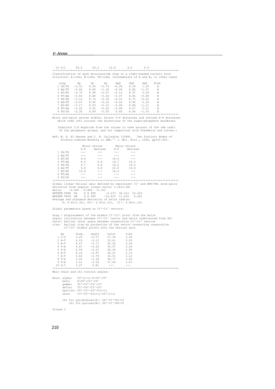10 G-C 54.5 50.5 10.8 9.0 9.9 \*\*\*\*\*\*\*\*\*\*\*\*\*\*\*\*\*\*\*\*\*\*\*\*\*\*\*\*\*\*\*\*\*\*\*\*\*\*\*\*\*\*\*\*\*\*\*\*\*\*\*\*\*\*\*\*\*\*\*\*\*\*\*\*\*\*\*\*\*\*\*\*\*\*\*\* Classification of each dinucleotide step in a right-handed nucleic acid structure: A-like; B-like; TA-like; intermediate of A and B, or other cases step Xp Yp Zp XpH YpH ZpH Form<br>
1CA/TG -3.31 8.34 -0.74 -4.28 8.29 1.20 B<br>
2AA/TT -3.46 8.86 -1.18 -4.04 8.82 -1.47 B 1 CA/TG -3.31 8.34 -0.74 -4.28 8.29 1.20 B 2 AA/TT -3.46 8.86 -1.18 -4.04 8.82 -1.47 B 3 AT/AT -3.70 8.98 -0.47 -5.13 8.97 0.59 B 4 TT/AA -3.55 8.88 -0.44 -3.97 8.85 -0.89 B 5 TA/TA -3.14 8.74 -0.36 -4.14 8.75 -0.25 B 6 AA/TT -3.07 8.90 -0.29 -4.22 8.90 0.36 B 7 AT/AT -3.17 8.93 -0.15 -3.59 8.86 -1.11 B 8 TT/AA -3.20 9.05 -0.56 -3.99 9.07 0.11 B 9 TG/CA -2.35 8.69 -0.93 0.46 8.64 -1.33 B \*\*\*\*\*\*\*\*\*\*\*\*\*\*\*\*\*\*\*\*\*\*\*\*\*\*\*\*\*\*\*\*\*\*\*\*\*\*\*\*\*\*\*\*\*\*\*\*\*\*\*\*\*\*\*\*\*\*\*\*\*\*\*\*\*\*\*\*\*\*\*\*\*\*\*\* Minor and major groove widths: direct P-P distances and refined P-P distances which take into account the directions of the sugar-phosphate backbones (Subtract 5.8 Angstrom from the values to take account of the vdw radii of the phosphate groups, and for comparison with FreeHelix and Curves.) Ref: M. A. El Hassan and C. R. Calladine (1998). ``Two Distinct Modes of Protein-induced Bending in DNA.'' J. Mol. Biol., v282, pp331-343. Minor Groove Major Groove P-P<br>
Refined P-P<br>
---<br>
---<br>
---1 CA/TG --- --- --- --- ---<br>2 AA/TT --- --- --- --- ------ --- --- --- --- ---<br>2 AA/TT --- --- --- --- ---<br>3 AT/AT -9.4 --- -18.9 ---3 AT/AT 9.4 --- 18.9 ---<br>4 TT/AA 9.4 9.4 19.7 19.5<br>5 TA/TA 9.7 9.6 19.2 19.2 4 TT/AA 9.4 9.4 19.7 19.5 5 TA/TA 9.7 9.6 19.2 19.2 6 AA/TT 9.9 9.8 20.0 19.9<br>7 AT/AT 10.6 --- 18.4 ---0 111/11 - 10.6 --- 10.4 ---<br>8 TT/AA --- --- --- --- --- ----<br>8 TT/AA --- --- --- --- --- 8 TT/AA --- --- --- --- 9 TG/CA --- --- --- --- \*\*\*\*\*\*\*\*\*\*\*\*\*\*\*\*\*\*\*\*\*\*\*\*\*\*\*\*\*\*\*\*\*\*\*\*\*\*\*\*\*\*\*\*\*\*\*\*\*\*\*\*\*\*\*\*\*\*\*\*\*\*\*\*\*\*\*\*\*\*\*\*\*\*\*\* Global linear helical axis defined by equivalent C1' and RN9/YN1 atom pairs Deviation from regular linear helix: 3.26(0.28) Helix: -0.490 -0.860 -0.143 HETATM 9998 XS X X 999 -2.233 36.512 10.252 HETATM 9999 XE X X 999 -16.610 11.252 6.061 Average and standard deviation of helix radius: P: 9.95(1.32), O4': 6.93(1.31), C1': 6.46(1.33) Global parameters based on C1'-C1' vectors: disp.: displacement of the middle C1'-C1' point from the helix<br>angle: inclination between C1'-C1' vector and helix (subtracted from 90)<br>twist: helical twist angle between consecutive C1'-C1' vectors<br>rise: helical twist ang bp disp. angle twist rise 1 C-G 3.25 -0.57 37.36 3.30 2 A-T 4.19 -3.13 33.61 3.03 3 A-T 4.07 -3.71 32.25 3.54 4 T-A 4.67 -4.52 34.97 3.06 5 T-A 4.50 -2.67 36.26 2.90 6 A-T 4.14 -2.97 36.41 3.13 7 A-T 3.82 -3.78 32.41 3.12 8 T-A 3.53 -3.36 34.77 3.63

 9 T-A 3.51 -3.56 37.69 3.67 10 G-C 3.07 0.81 --- --- \*\*\*\*\*\*\*\*\*\*\*\*\*\*\*\*\*\*\*\*\*\*\*\*\*\*\*\*\*\*\*\*\*\*\*\*\*\*\*\*\*\*\*\*\*\*\*\*\*\*\*\*\*\*\*\*\*\*\*\*\*\*\*\*\*\*\*\*\*\*\*\*\*\*\*\* Main chain and chi torsion angles:

```
Note: alpha: O3'(i-1)-P-O5'-C5' 
 beta: P-O5'-C5'-C4' 
 gamma: O5'-C5'-C4'-C3' 
 delta: C5'-C4'-C3'-O3' 
 epsilon: C4'-C3'-O3'-P(i+1) 
 zeta: C3'-O3'-P(i+1)-O5'(i+1) 
 chi for pyrimidines(Y): O4'-C1'-N1-C2 
 chi for purines(R): O4'-C1'-N9-C4
```
Strand I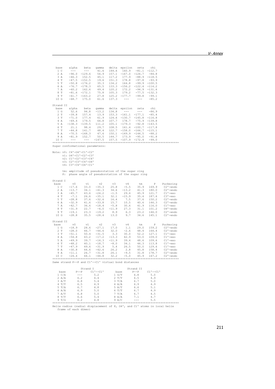| base                                                 |                             |     | alpha beta gamma delta epsilon zeta chi |                                                                                                                                                                                                                                          |                |                                                                                                                                |                                                                                                                                                                                                                                                                                                                                   |
|------------------------------------------------------|-----------------------------|-----|-----------------------------------------|------------------------------------------------------------------------------------------------------------------------------------------------------------------------------------------------------------------------------------------|----------------|--------------------------------------------------------------------------------------------------------------------------------|-----------------------------------------------------------------------------------------------------------------------------------------------------------------------------------------------------------------------------------------------------------------------------------------------------------------------------------|
| 1 <sup>c</sup>                                       |                             |     |                                         |                                                                                                                                                                                                                                          |                |                                                                                                                                |                                                                                                                                                                                                                                                                                                                                   |
| 2A                                                   |                             |     |                                         |                                                                                                                                                                                                                                          |                |                                                                                                                                |                                                                                                                                                                                                                                                                                                                                   |
| 3A                                                   |                             |     |                                         |                                                                                                                                                                                                                                          |                |                                                                                                                                |                                                                                                                                                                                                                                                                                                                                   |
| 4 T                                                  |                             |     |                                         |                                                                                                                                                                                                                                          |                |                                                                                                                                |                                                                                                                                                                                                                                                                                                                                   |
|                                                      |                             |     |                                         |                                                                                                                                                                                                                                          |                |                                                                                                                                |                                                                                                                                                                                                                                                                                                                                   |
| 5 T                                                  |                             |     |                                         |                                                                                                                                                                                                                                          |                |                                                                                                                                |                                                                                                                                                                                                                                                                                                                                   |
| 6 A                                                  |                             |     |                                         |                                                                                                                                                                                                                                          |                |                                                                                                                                |                                                                                                                                                                                                                                                                                                                                   |
| 7 A                                                  |                             |     |                                         |                                                                                                                                                                                                                                          |                |                                                                                                                                |                                                                                                                                                                                                                                                                                                                                   |
| 8 T                                                  |                             |     |                                         |                                                                                                                                                                                                                                          |                |                                                                                                                                |                                                                                                                                                                                                                                                                                                                                   |
| 9T                                                   |                             |     |                                         |                                                                                                                                                                                                                                          |                |                                                                                                                                |                                                                                                                                                                                                                                                                                                                                   |
| 10 G                                                 |                             |     |                                         | alpha beta gamma delta epsilon zeta chi<br>--- --- 41.6 144.6 160.9 -81.1 -112.7<br>-96.0 -129.6 56.9 157.1 -167.0 -126.7 -84.8<br>-46.3 152.5 45.1 117.2 177.9 -88.9 -118.5<br>-47.5 -152.5 19.6 151.3 178.8 -97.8 -93.9 -100.5<br>-50. |                |                                                                                                                                |                                                                                                                                                                                                                                                                                                                                   |
|                                                      |                             |     |                                         |                                                                                                                                                                                                                                          |                |                                                                                                                                |                                                                                                                                                                                                                                                                                                                                   |
| Strand II                                            |                             |     |                                         |                                                                                                                                                                                                                                          |                |                                                                                                                                |                                                                                                                                                                                                                                                                                                                                   |
|                                                      |                             |     |                                         | base alpha beta gamma delta epsilon zeta chi<br>1 G 52.6 94.8 -13.2 134.8 --- --- --- -86.9                                                                                                                                              |                |                                                                                                                                |                                                                                                                                                                                                                                                                                                                                   |
|                                                      |                             |     |                                         |                                                                                                                                                                                                                                          |                |                                                                                                                                |                                                                                                                                                                                                                                                                                                                                   |
| 2T                                                   |                             |     |                                         | $-39.8$ 157.4 13.9 153.3 $-161.1$ $-177.1$ $-85.4$                                                                                                                                                                                       |                |                                                                                                                                |                                                                                                                                                                                                                                                                                                                                   |
|                                                      |                             |     |                                         |                                                                                                                                                                                                                                          |                |                                                                                                                                |                                                                                                                                                                                                                                                                                                                                   |
|                                                      |                             |     |                                         |                                                                                                                                                                                                                                          |                |                                                                                                                                |                                                                                                                                                                                                                                                                                                                                   |
|                                                      |                             |     |                                         |                                                                                                                                                                                                                                          |                |                                                                                                                                |                                                                                                                                                                                                                                                                                                                                   |
|                                                      |                             |     |                                         |                                                                                                                                                                                                                                          |                |                                                                                                                                |                                                                                                                                                                                                                                                                                                                                   |
|                                                      |                             |     |                                         |                                                                                                                                                                                                                                          |                |                                                                                                                                |                                                                                                                                                                                                                                                                                                                                   |
|                                                      |                             |     |                                         |                                                                                                                                                                                                                                          |                |                                                                                                                                |                                                                                                                                                                                                                                                                                                                                   |
|                                                      |                             |     |                                         |                                                                                                                                                                                                                                          |                |                                                                                                                                |                                                                                                                                                                                                                                                                                                                                   |
|                                                      |                             |     |                                         |                                                                                                                                                                                                                                          |                |                                                                                                                                |                                                                                                                                                                                                                                                                                                                                   |
|                                                      |                             |     |                                         | 2 T $-39.8$ 157.4 13.9 153.3 $-161.1$ $-117.1$ $-85.4$<br>4 A $-69.4$ 177.4 61.9 124.6 $-130.7$ $-178.7$ $-15.8$ $-116.8$<br>4 A $-69.4$ 179.5 66.8 107.7 178.7 $-75.9$ $-139.8$<br>5 A $-138.3$ $-139.5$ 111.2 105.1 $-179.3$ $-92$     |                |                                                                                                                                |                                                                                                                                                                                                                                                                                                                                   |
|                                                      |                             |     |                                         |                                                                                                                                                                                                                                          |                |                                                                                                                                |                                                                                                                                                                                                                                                                                                                                   |
| Sugar conformational parameters:                     |                             |     |                                         |                                                                                                                                                                                                                                          |                |                                                                                                                                |                                                                                                                                                                                                                                                                                                                                   |
|                                                      |                             |     |                                         |                                                                                                                                                                                                                                          |                |                                                                                                                                |                                                                                                                                                                                                                                                                                                                                   |
| Note: v0: C4'-04'-C1'-C2'                            |                             |     |                                         |                                                                                                                                                                                                                                          |                |                                                                                                                                |                                                                                                                                                                                                                                                                                                                                   |
|                                                      | v1: 04'-C1'-C2'-C3'         |     |                                         |                                                                                                                                                                                                                                          |                |                                                                                                                                |                                                                                                                                                                                                                                                                                                                                   |
|                                                      | v2: C1'-C2'-C3'-C4'         |     |                                         |                                                                                                                                                                                                                                          |                |                                                                                                                                |                                                                                                                                                                                                                                                                                                                                   |
|                                                      | $v3: C2' - C3' - C4' - O4'$ |     |                                         |                                                                                                                                                                                                                                          |                |                                                                                                                                |                                                                                                                                                                                                                                                                                                                                   |
|                                                      | v4: C3'-C4'-04'-C1'         |     |                                         |                                                                                                                                                                                                                                          |                |                                                                                                                                |                                                                                                                                                                                                                                                                                                                                   |
|                                                      |                             |     |                                         |                                                                                                                                                                                                                                          |                |                                                                                                                                |                                                                                                                                                                                                                                                                                                                                   |
|                                                      |                             |     |                                         | tm: amplitude of pseudorotation of the sugar ring                                                                                                                                                                                        |                |                                                                                                                                |                                                                                                                                                                                                                                                                                                                                   |
|                                                      |                             |     |                                         | P: phase angle of pseudorotation of the sugar ring                                                                                                                                                                                       |                |                                                                                                                                |                                                                                                                                                                                                                                                                                                                                   |
|                                                      |                             |     |                                         |                                                                                                                                                                                                                                          |                |                                                                                                                                |                                                                                                                                                                                                                                                                                                                                   |
| Strand I                                             |                             |     |                                         |                                                                                                                                                                                                                                          |                |                                                                                                                                |                                                                                                                                                                                                                                                                                                                                   |
| base                                                 |                             |     |                                         |                                                                                                                                                                                                                                          |                |                                                                                                                                |                                                                                                                                                                                                                                                                                                                                   |
| $1\,c$                                               |                             |     |                                         |                                                                                                                                                                                                                                          |                |                                                                                                                                |                                                                                                                                                                                                                                                                                                                                   |
|                                                      |                             |     |                                         |                                                                                                                                                                                                                                          |                |                                                                                                                                |                                                                                                                                                                                                                                                                                                                                   |
|                                                      |                             |     |                                         |                                                                                                                                                                                                                                          |                |                                                                                                                                |                                                                                                                                                                                                                                                                                                                                   |
| 2A                                                   |                             |     |                                         |                                                                                                                                                                                                                                          |                |                                                                                                                                |                                                                                                                                                                                                                                                                                                                                   |
| 3A                                                   |                             |     |                                         |                                                                                                                                                                                                                                          |                |                                                                                                                                |                                                                                                                                                                                                                                                                                                                                   |
| 4 T                                                  |                             |     |                                         |                                                                                                                                                                                                                                          |                |                                                                                                                                |                                                                                                                                                                                                                                                                                                                                   |
| 5 T                                                  |                             |     |                                         |                                                                                                                                                                                                                                          |                |                                                                                                                                |                                                                                                                                                                                                                                                                                                                                   |
| 6 A                                                  |                             |     |                                         |                                                                                                                                                                                                                                          |                |                                                                                                                                |                                                                                                                                                                                                                                                                                                                                   |
| 7 A                                                  |                             |     |                                         |                                                                                                                                                                                                                                          |                |                                                                                                                                |                                                                                                                                                                                                                                                                                                                                   |
| 8 T                                                  |                             |     |                                         |                                                                                                                                                                                                                                          |                |                                                                                                                                |                                                                                                                                                                                                                                                                                                                                   |
| 9 T                                                  |                             |     |                                         |                                                                                                                                                                                                                                          |                |                                                                                                                                |                                                                                                                                                                                                                                                                                                                                   |
| 10 G                                                 |                             |     |                                         |                                                                                                                                                                                                                                          |                |                                                                                                                                |                                                                                                                                                                                                                                                                                                                                   |
|                                                      |                             |     |                                         |                                                                                                                                                                                                                                          |                |                                                                                                                                | $\begin{tabular}{cccccc} v0 & v1 & v2 & v3 & v4 & tm & P & Puckering \\ -17.6 & 33.0 & -35.3 & 25.8 & -5.5 & 35.9 & 169.9 & C2'-endo \\ -13.7 & 34.1 & -41.3 & 34.6 & -13.2 & 41.3 & 180.0 & C2'-endo \\ -45.7 & 43.6 & -24.2 & -1.5 & 29.4 & 45.9 & 121.7 & C1'-exo \\ -7.1 & 26.6 & -35.1 & 32.1 & -15.9 & 35.4 & 187.6 & C3'-$ |
| Strand II                                            |                             |     |                                         |                                                                                                                                                                                                                                          |                |                                                                                                                                |                                                                                                                                                                                                                                                                                                                                   |
| base                                                 |                             |     |                                         |                                                                                                                                                                                                                                          |                |                                                                                                                                |                                                                                                                                                                                                                                                                                                                                   |
|                                                      |                             |     |                                         |                                                                                                                                                                                                                                          |                |                                                                                                                                |                                                                                                                                                                                                                                                                                                                                   |
|                                                      |                             |     |                                         |                                                                                                                                                                                                                                          |                |                                                                                                                                |                                                                                                                                                                                                                                                                                                                                   |
|                                                      |                             |     |                                         |                                                                                                                                                                                                                                          |                |                                                                                                                                |                                                                                                                                                                                                                                                                                                                                   |
|                                                      |                             |     |                                         |                                                                                                                                                                                                                                          |                |                                                                                                                                |                                                                                                                                                                                                                                                                                                                                   |
|                                                      |                             |     |                                         |                                                                                                                                                                                                                                          |                |                                                                                                                                |                                                                                                                                                                                                                                                                                                                                   |
|                                                      |                             |     |                                         |                                                                                                                                                                                                                                          |                |                                                                                                                                |                                                                                                                                                                                                                                                                                                                                   |
|                                                      |                             |     |                                         |                                                                                                                                                                                                                                          |                |                                                                                                                                |                                                                                                                                                                                                                                                                                                                                   |
|                                                      |                             |     |                                         |                                                                                                                                                                                                                                          |                |                                                                                                                                |                                                                                                                                                                                                                                                                                                                                   |
|                                                      |                             |     |                                         |                                                                                                                                                                                                                                          |                |                                                                                                                                |                                                                                                                                                                                                                                                                                                                                   |
|                                                      |                             |     |                                         |                                                                                                                                                                                                                                          |                |                                                                                                                                |                                                                                                                                                                                                                                                                                                                                   |
|                                                      |                             |     |                                         |                                                                                                                                                                                                                                          |                |                                                                                                                                |                                                                                                                                                                                                                                                                                                                                   |
|                                                      |                             |     |                                         |                                                                                                                                                                                                                                          |                |                                                                                                                                |                                                                                                                                                                                                                                                                                                                                   |
| Same strand P--P and C1'--C1' virtual bond distances |                             |     |                                         |                                                                                                                                                                                                                                          |                |                                                                                                                                |                                                                                                                                                                                                                                                                                                                                   |
|                                                      |                             |     |                                         |                                                                                                                                                                                                                                          |                |                                                                                                                                |                                                                                                                                                                                                                                                                                                                                   |
|                                                      | Strand I                    |     |                                         |                                                                                                                                                                                                                                          | Strand II      |                                                                                                                                |                                                                                                                                                                                                                                                                                                                                   |
| base                                                 |                             |     |                                         |                                                                                                                                                                                                                                          |                |                                                                                                                                |                                                                                                                                                                                                                                                                                                                                   |
| 1 C/A                                                |                             |     |                                         |                                                                                                                                                                                                                                          |                |                                                                                                                                |                                                                                                                                                                                                                                                                                                                                   |
| 2 A/A                                                |                             |     |                                         |                                                                                                                                                                                                                                          |                |                                                                                                                                |                                                                                                                                                                                                                                                                                                                                   |
| 2 A/A<br>3 A/T<br>4 T/T                              | $6.8$<br>$6.5$              | 4.9 | 4 A/A                                   |                                                                                                                                                                                                                                          | $6.7$<br>$6.9$ | Strand 1<br>P--P C1'--C1' base P--P C1'--C1'<br>--- 5.2 1 G/T 6.8 5.0<br>6.2 4.4 2 T/T 6.5 4.9<br>6.8 5.4 3 T/A 6.7 5.0<br>4.9 |                                                                                                                                                                                                                                                                                                                                   |

3 A/T 6.8 5.4 3 T/A 6.7 5.0 4 T/T 6.5 4.9 4 A/A 6.9 4.9 5 T/A 6.7 4.8 5 A/T 6.6 5.1 6 A/A 6.9 5.0 6 T/T 6.7 4.9 7 A/T 6.8 5.0 7 T/A 6.7 4.5 8 T/T 6.6 5.4 8 A/A 7.1 4.7 9 T/G 6.2 4.8 9 A/C --- 5.5 \*\*\*\*\*\*\*\*\*\*\*\*\*\*\*\*\*\*\*\*\*\*\*\*\*\*\*\*\*\*\*\*\*\*\*\*\*\*\*\*\*\*\*\*\*\*\*\*\*\*\*\*\*\*\*\*\*\*\*\*\*\*\*\*\*\*\*\*\*\*\*\*\*\*\*\* Helix radius (radial displacement of P, O4', and C1' atoms in local helix frame of each dimer)